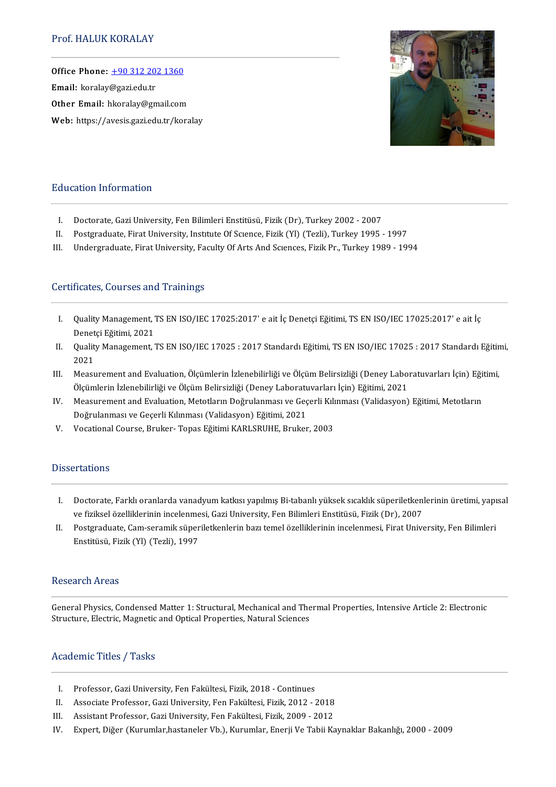Office Phone: [+903122021360](tel:+90 312 202 1360) —<br>Office Phone: <u>+90 312 20.</u><br>Email: koralay@gazi.edu.tr Email: koralay@gazi.edu.tr<br>Other Email: hkoralay@gmail.com Web: https://avesis.gazi.edu.tr/koralay



## Education Information

- I. Doctorate, Gazi University, Fen Bilimleri Enstitüsü, Fizik (Dr), Turkey 2002 2007<br>II. Postgraduate. Firat University. Institute Of Science. Fizik (Yl) (Tezli). Turkey 1995
- 
- II. Postgraduate, Firat University, Institute Of Science, Fizik (Yl) (Tezli), Turkey 1995 1997<br>III. Undergraduate, Firat University, Faculty Of Arts And Sciences, Fizik Pr., Turkey 1989 19 Undergraduate, Firat University, Faculty Of Arts And Sciences, Fizik Pr., Turkey 1989 - 1994

## Certificates, Courses and Trainings

- ertificates, Courses and Trainings<br>I. Quality Management, TS EN ISO/IEC 17025:2017' e ait İç Denetçi Eğitimi, TS EN ISO/IEC 17025:2017' e ait İç<br>Renetçi Eğitimi 2021 Quality Management, "<br>Denetçi Eğitimi, 2021<br>Quality Management " I. Quality Management, TS EN ISO/IEC 17025:2017' e ait İç Denetçi Eğitimi, TS EN ISO/IEC 17025:2017' e ait İç<br>Denetçi Eğitimi, 2021<br>II. Quality Management, TS EN ISO/IEC 17025 : 2017 Standardı Eğitimi, TS EN ISO/IEC 17025
- Denet<br>Qualit<br>2021<br>Measu II. Quality Management, TS EN ISO/IEC 17025 : 2017 Standardı Eğitimi, TS EN ISO/IEC 17025 : 2017 Standardı Eğitim<br>2021<br>III. Measurement and Evaluation, Ölçümlerin İzlenebilirliği ve Ölçüm Belirsizliği (Deney Laboratuvarlar
- 2021<br>Measurement and Evaluation, Ölçümlerin İzlenebilirliği ve Ölçüm Belirsizliği (Deney Labor<br>Ölçümlerin İzlenebilirliği ve Ölçüm Belirsizliği (Deney Laboratuvarları İçin) Eğitimi, 2021<br>Measurement and Evaluation Metatlar III. Measurement and Evaluation, Ölçümlerin İzlenebilirliği ve Ölçüm Belirsizliği (Deney Laboratuvarları İçin) Eğit<br>Ölçümlerin İzlenebilirliği ve Ölçüm Belirsizliği (Deney Laboratuvarları İçin) Eğitimi, 2021<br>IV. Measuremen
- Ölçümlerin İzlenebilirliği ve Ölçüm Belirsizliği (Deney Laboratuvarları İçin) Eğitimi, 2021<br>Measurement and Evaluation, Metotların Doğrulanması ve Geçerli Kılınması (Validasyon) Eğitimi, Metotların<br>Doğrulanması ve Geçerli IV. Measurement and Evaluation, Metotların Doğrulanması ve Geçerli Kıl<br>Doğrulanması ve Geçerli Kılınması (Validasyon) Eğitimi, 2021<br>V. Vocational Course, Bruker- Topas Eğitimi KARLSRUHE, Bruker, 2003
- 

## **Dissertations**

- I. Doctorate, Farklı oranlarda vanadyum katkısı yapılmış Bi-tabanlı yüksek sıcaklık süperiletkenlerinin üretimi, yapısal ve fiziksel özelliklerinin incelenmesi, Gazi University, Fen Bilimleri Enstitüsü, Fizik (Dr), 2007 I. Doctorate, Farklı oranlarda vanadyum katkısı yapılmış Bi-tabanlı yüksek sıcaklık süperiletkenlerinin üretimi, yapı<br>1991 ve fiziksel özelliklerinin incelenmesi, Gazi University, Fen Bilimleri Enstitüsü, Fizik (Dr), 2007<br>
- ve fiziksel özelliklerinin incelenme<br>Postgraduate, Cam-seramik süper<br>Enstitüsü, Fizik (Yl) (Tezli), 1997 Enstitüsü, Fizik (Yl) (Tezli), 1997<br>Research Areas

Research Areas<br>General Physics, Condensed Matter 1: Structural, Mechanical and Thermal Properties, Intensive Article 2: Electronic<br>Structure, Electric, Magnetic and Optical Properties, Natural Sciences Treeem enter eas<br>General Physics, Condensed Matter 1: Structural, Mechanical and The<br>Structure, Electric, Magnetic and Optical Properties, Natural Sciences Structure, Electric, Magnetic and Optical Properties, Natural Sciences<br>Academic Titles / Tasks

- I. Professor, Gazi University, Fen Fakültesi, Fizik, 2018 Continues<br>II. Associate Professor. Gazi University. Fen Fakültesi. Fizik. 2012 -
- I. Professor, Gazi University, Fen Fakültesi, Fizik, 2018 Continues<br>II. Associate Professor, Gazi University, Fen Fakültesi, Fizik, 2012 2018<br>II. Assistant Professor, Gazi University, Fen Fakültesi, Fizik, 2009, 2012 I. Professor, Gazi University, Fen Fakültesi, Fizik, 2018 - Continues<br>II. Associate Professor, Gazi University, Fen Fakültesi, Fizik, 2012 - 2018<br>III. Assistant Professor, Gazi University, Fen Fakültesi, Fizik, 2009 - 2012
- 
- III. Assistant Professor, Gazi University, Fen Fakültesi, Fizik, 2009 2012<br>IV. Expert, Diğer (Kurumlar,hastaneler Vb.), Kurumlar, Enerji Ve Tabii Kaynaklar Bakanlığı, 2000 2009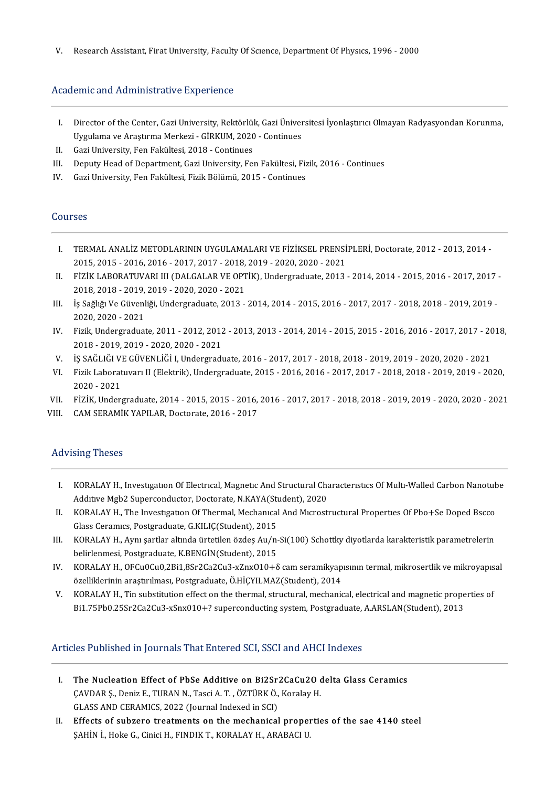V. Research Assistant, Firat University, Faculty Of Science, Department Of Physics, 1996 - 2000

## Academic and Administrative Experience

- cademic and Administrative Experience<br>I. Director of the Center, Gazi University, Rektörlük, Gazi Üniversitesi İyonlaştırıcı Olmayan Radyasyondan Korunma,<br>Iliyaylama ve Arectiuma Morkeri, CİBKUM 2020, Continues Director of the Center, Gazi University, Rektörlük, Gazi Üniver<br>Uygulama ve Araştırma Merkezi - GİRKUM, 2020 - Continues<br>Cazi University, Fen Fekültesi, 2018 - Continues I. Director of the Center, Gazi University, Rektörlül<br>Uygulama ve Araştırma Merkezi - GİRKUM, 2020<br>II. Gazi University, Fen Fakültesi, 2018 - Continues I I. Gazi University, Fen Fakültesi, 2018 - Continues<br>II. Gazi University, Fen Fakültesi, 2018 - Continues<br>III. Deputy Head of Department, Gazi University, Fen Fakültesi, Fizik, 2016 - Continues<br>IV. Gazi University, Fen Fa
- 
- II. Gazi University, Fen Fakültesi, 2018 Continues<br>III. Deputy Head of Department, Gazi University, Fen Fakültesi, Fiz<br>IV. Gazi University, Fen Fakültesi, Fizik Bölümü, 2015 Continues
- IV. Gazi University, Fen Fakültesi, Fizik Bölümü, 2015 Continues<br>Courses

- I. TERMAL ANALİZ METODLARININ UYGULAMALARI VE FİZİKSEL PRENSİPLERİ, Doctorate, 2012 2013, 2014 -2015,2015-2016,2016-2017,2017-2018,2019-2020,2020-2021 I. TERMAL ANALİZ METODLARININ UYGULAMALARI VE FİZİKSEL PRENSİPLERİ, Doctorate, 2012 - 2013, 2014 - 2015, 2015 - 2016, 2016 - 2017, 2017 - 2018, 2019 - 2020, 2020 - 2021<br>II. FİZİK LABORATUVARI III (DALGALAR VE OPTİK), Under
- 2015, 2015 2016, 2016 2017, 2017 2018,<br>FİZİK LABORATUVARI III (DALGALAR VE OPT<br>2018, 2018 2019, 2019 2020, 2020 2021<br>İs Sağlığı Ve Güyenliği, Undergreduate, 2012 II. FİZİK LABORATUVARI III (DALGALAR VE OPTİK), Undergraduate, 2013 - 2014, 2014 - 2015, 2016 - 2017, 2017<br>2018, 2018 - 2019, 2019 - 2020, 2020 - 2021<br>III. İş Sağlığı Ve Güvenliği, Undergraduate, 2013 - 2014, 2014 - 2015,
- 2018, 2018 2019, 2019 2020, 2020 2021<br>İş Sağlığı Ve Güvenliği, Undergraduate, 2013 2014, 2014 2015, 2016 2017, 2017 2018, 2018 2019, 2019 -<br>2020, 2020 2021 III. İş Sağlığı Ve Güvenliği, Undergraduate, 2013 - 2014, 2014 - 2015, 2016 - 2017, 2017 - 2018, 2018 - 2019, 2019 -<br>2020, 2020 - 2021<br>IV. Fizik, Undergraduate, 2011 - 2012, 2012 - 2013, 2013 - 2014, 2014 - 2015, 2015 - 20
- 2020, 2020 2021<br>Fizik, Undergraduate, 2011 2012, 2012<br>2018 2019, 2019 2020, 2020 2021<br>is SAČLIČLVE CÜVENLİČL Undergradı V. Fizik, Undergraduate, 2011 - 2012, 2012 - 2013, 2013 - 2014, 2014 - 2015, 2015 - 2016, 2016 - 2017, 2017 - 20<br>2018 - 2019, 2019 - 2020, 2020 - 2021<br>V. S. SAĞLIĞI VE GÜVENLİĞİ I, Undergraduate, 2016 - 2017, 2017 - 2018,
- 
- 2018 2019, 2019 2020, 2020 2021<br>V. İŞ SAĞLIĞI VE GÜVENLİĞİ I, Undergraduate, 2016 2017, 2017 2018, 2018 2019, 2019 2020, 2020 2021<br>VI. Fizik Laboratuvarı II (Elektrik), Undergraduate, 2015 2016, 2016 20 İŞ SAĞLIĞI VI<br>Fizik Laborat<br>2020 - 2021<br>Fizik Under VI. Fizik Laboratuvarı II (Elektrik), Undergraduate, 2015 - 2016, 2016 - 2017, 2017 - 2018, 2018 - 2019, 2019 - 2020,<br>2020 - 2021<br>VII. FİZİK, Undergraduate, 2014 - 2015, 2015 - 2016, 2016 - 2017, 2017 - 2018, 2018 - 2019, 2020 - 2021<br>VII. FİZİK, Undergraduate, 2014 - 2015, 2015 - 2016,<br>VIII. CAM SERAMİK YAPILAR, Doctorate, 2016 - 2017
- 
- VIII. CAM SERAMİK YAPILAR, Doctorate, 2016 2017<br>Advising Theses

- I. KORALAYH., InvestıgatıonOfElectrıcal,MagnetıcAndStructuralCharacterıstıcsOfMultı-WaledCarbonNanotube KORALAY H., Investigation Of Electrical, Magnetic And Structural Charles<br>Additive Mgb2 Superconductor, Doctorate, N.KAYA(Student), 2020 I. KORALAY H., Investigation Of Electrical, Magnetic And Structural Characteristics Of Multi-Walled Carbon Nanotub<br>Additive Mgb2 Superconductor, Doctorate, N.KAYA(Student), 2020<br>II. KORALAY H., The Investigation Of Thermal
- Additive Mgb2 Superconductor, Doctorate, N.KAYA(Stick)<br>KORALAY H., The Investigation Of Thermal, Mechanical<br>Glass Ceramics, Postgraduate, G.KILIÇ(Student), 2015<br>KORALAY H. Armi sartlar altinda ürtətilən özdes Au (n II. KORALAY H., The Investigation Of Thermal, Mechanical And Microstructural Properties Of Pbo+Se Doped Bscco<br>Glass Ceramics, Postgraduate, G.KILIÇ(Student), 2015<br>III. KORALAY H., Aynı şartlar altında ürtetilen özdeş Au/n-
- Glass Ceramics, Postgraduate, G.KILIÇ(Student), 2015<br>KORALAY H., Aynı şartlar altında ürtetilen özdeş Au/n-Si(100) Schottky diyotlarda karakteristik parametrelerin<br>belirlenmesi, Postgraduate, K.BENGİN(Student), 2015 III. KORALAY H., Aynı şartlar altında ürtetilen özdeş Au/n-Si(100) Schottky diyotlarda karakteristik parametrelerin<br>belirlenmesi, Postgraduate, K.BENGİN(Student), 2015<br>IV. KORALAY H., OFCu0Cu0,2Bi1,8Sr2Ca2Cu3-xZnxO10+δ cam
- belirlenmesi, Postgraduate, K.BENGİN(Student), 2015<br>KORALAY H., OFCu0Cu0,2Bi1,8Sr2Ca2Cu3-xZnxO10+δ cam seramikyap<br>özelliklerinin araştırılması, Postgraduate, Ö.HİÇYILMAZ(Student), 2014<br>KORALAY H. Tin substitution effect o V. KORALAY H., OFCu0Cu0,2Bi1,8Sr2Ca2Cu3-xZnxO10+6 cam seramikyapısının termal, mikrosertlik ve mikroyapıs<br>özelliklerinin araştırılması, Postgraduate, Ö.HİÇYILMAZ(Student), 2014<br>V. KORALAY H., Tin substitution effect on the
- özelliklerinin araştırılması, Postgraduate, Ö.HİÇYILMAZ(Student), 2014<br>KORALAY H., Tin substitution effect on the thermal, structural, mechanical, electrical and magnetic properties of<br>Bi1.75Pb0.25Sr2Ca2Cu3-xSnx010+? super

# Articles Published in Journals That Entered SCI, SSCI and AHCI Indexes

- I. The Nucleation Effect of PbSe Additive on Bi2Sr2CaCu2O delta Glass Ceramics The Nucleation Effect of PbSe Additive on Bi2Sr2CaCu2O of<br>CAVDAR Ş., Deniz E., TURAN N., Tasci A. T. , ÖZTÜRK Ö., Koralay H. The Nucleation Effect of PbSe Additive on Bi2Sr:<br>CAVDAR S., Deniz E., TURAN N., Tasci A. T. , ÖZTÜRK Ö.,<br>GLASS AND CERAMICS, 2022 (Journal Indexed in SCI) CAVDAR S., Deniz E., TURAN N., Tasci A. T. , ÖZTÜRK Ö., Koralay H.<br>GLASS AND CERAMICS, 2022 (Journal Indexed in SCI)<br>II. Effects of subzero treatments on the mechanical properties of the sae 4140 steel<br>SAHIN L. Hoke C. Cin
- GLASS AND CERAMICS, 2022 (Journal Indexed in SCI)<br><mark>Effects of subzero treatments on the mechanical prope</mark><br>ŞAHİN İ., Hoke G., Cinici H., FINDIK T., KORALAY H., ARABACI U.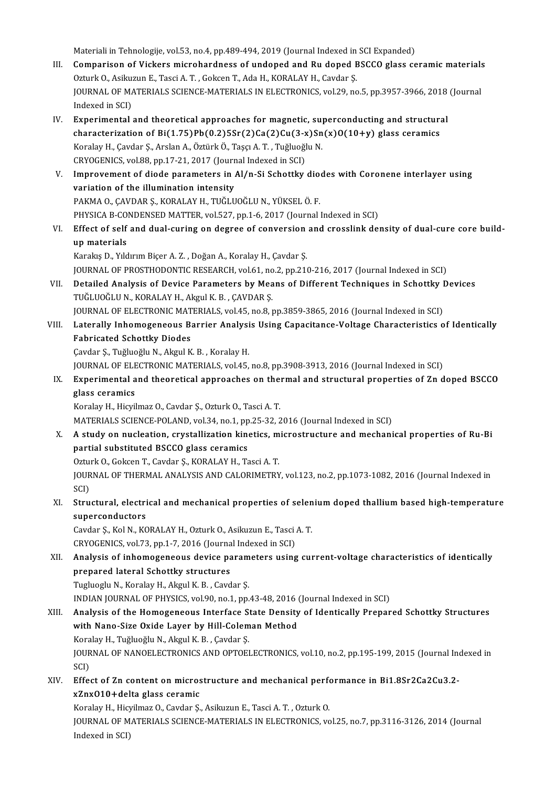Materiali in Tehnologije, vol.53, no.4, pp.489-494, 2019 (Journal Indexed in SCI Expanded)

- III. Comparison of Vickers microhardness of undoped and Ru doped BSCCO glass ceramic materials Materiali in Tehnologije, vol.53, no.4, pp.489-494, 2019 (Journal Indexed in<br>Comparison of Vickers microhardness of undoped and Ru doped E<br>Ozturk O., Asikuzun E., Tasci A. T. , Gokcen T., Ada H., KORALAY H., Cavdar Ş.<br>JOUP JOURNAL OF MATERIALS SCIENCE-MATERIALS IN ELECTRONICS, vol.29, no.5, pp.3957-3966, 2018 (Journal Indexed in SCI) Ozturk O., Asiku:<br>JOURNAL OF MA<br>Indexed in SCI)<br>Experimental JOURNAL OF MATERIALS SCIENCE-MATERIALS IN ELECTRONICS, vol.29, no.5, pp.3957-3966, 2018<br>Indexed in SCI)<br>IV. Experimental and theoretical approaches for magnetic, superconducting and structural<br>characterization of Bi(1.75)
- Indexed in SCI)<br>Experimental and theoretical approaches for magnetic, superconducting and structura<br>characterization of Bi(1.75)Pb(0.2)5Sr(2)Ca(2)Cu(3-x)Sn(x)O(10+y) glass ceramics<br>Koraky H. Caydar S. Arclan A. Östürk Ö. T characterization of Bi(1.75)Pb(0.2)5Sr(2)Ca(2)Cu(3-x)Sn(x)O(10+y) glass ceramics<br>Koralay H., Çavdar Ş., Arslan A., Öztürk Ö., Taşçı A. T., Tuğluoğlu N. characterization of Bi(1.75)Pb(0.2)5Sr(2)Ca(2)Cu(3-x<br>Koralay H., Çavdar Ş., Arslan A., Öztürk Ö., Taşçı A. T. , Tuğluoğl<br>CRYOGENICS, vol.88, pp.17-21, 2017 (Journal Indexed in SCI)<br>Improvement of diode peremeters in Al/n S Koralay H., Çavdar Ş., Arslan A., Öztürk Ö., Taşçı A. T. , Tuğluoğlu N.<br>CRYOGENICS, vol.88, pp.17-21, 2017 (Journal Indexed in SCI)<br>V. Improvement of diode parameters in Al/n-Si Schottky diodes with Coronene interlayer usi
- CRYOGENICS, vol.88, pp.17-21, 2017 (Journ<br>Improvement of diode parameters in a<br>variation of the illumination intensity<br>PAKMA O. CAVDAR S. KORALAV H. TUČUJI Improvement of diode parameters in Al/n-Si Schottky dio<br>variation of the illumination intensity<br>PAKMA O., ÇAVDAR Ş., KORALAY H., TUĞLUOĞLU N., YÜKSEL Ö. F.<br>puvsica P. CONDENSED MATTER vol£27. pp.1.6.2017 (Journal) variation of the illumination intensity<br>PAKMA O., ÇAVDAR Ş., KORALAY H., TUĞLUOĞLU N., YÜKSEL Ö. F.<br>PHYSICA B-CONDENSED MATTER, vol.527, pp.1-6, 2017 (Journal Indexed in SCI) PAKMA O., ÇAVDAR Ş., KORALAY H., TUĞLUOĞLU N., YÜKSEL Ö. F.<br>PHYSICA B-CONDENSED MATTER, vol.527, pp.1-6, 2017 (Journal Indexed in SCI)<br>VI. Effect of self and dual-curing on degree of conversion and crosslink density of dua
- PHYSICA B-CO<br>Effect of self<br>up materials<br>Karaka D- Vild Effect of self and dual-curing on degree of conversion<br>up materials<br>Karakış D., Yıldırım Biçer A. Z. , Doğan A., Koralay H., Çavdar Ş.<br>JOUPMAL OF PROSTHODONTIC RESEARCH vol 61 no 2 np 211

**up materials**<br>Karakış D., Yıldırım Biçer A. Z. , Doğan A., Koralay H., Çavdar Ş.<br>JOURNAL OF PROSTHODONTIC RESEARCH, vol.61, no.2, pp.210-216, 2017 (Journal Indexed in SCI) Karakış D., Yıldırım Biçer A. Z. , Doğan A., Koralay H., Çavdar Ş.<br>JOURNAL OF PROSTHODONTIC RESEARCH, vol.61, no.2, pp.210-216, 2017 (Journal Indexed in SCI)<br>VII. Detailed Analysis of Device Parameters by Means of Diff

- JOURNAL OF PROSTHODONTIC RESEARCH, vol.61, no<br>Detailed Analysis of Device Parameters by Mea<br>TUĞLUOĞLU N., KORALAY H., Akgul K. B. , ÇAVDAR Ş.<br>JOURNAL OF ELECTRONIC MATERIALS xral4E no 9 x Detailed Analysis of Device Parameters by Means of Different Techniques in Schottky I<br>TUĞLUOĞLU N., KORALAY H., Akgul K. B. , ÇAVDAR Ş.<br>JOURNAL OF ELECTRONIC MATERIALS, vol.45, no.8, pp.3859-3865, 2016 (Journal Indexed in JOURNAL OF ELECTRONIC MATERIALS, vol.45, no.8, pp.3859-3865, 2016 (Journal Indexed in SCI)
- TUĞLUOĞLU N., KORALAY H., Akgul K. B. , ÇAVDAR Ş.<br>JOURNAL OF ELECTRONIC MATERIALS, vol.45, no.8, pp.3859-3865, 2016 (Journal Indexed in SCI)<br>VIII. Laterally Inhomogeneous Barrier Analysis Using Capacitance-Voltage Char Çavdar Ş., Tuğluoğlu N., Akgul K. B., Koralay H. Fabricated Schottky Diodes<br>Çavdar Ş., Tuğluoğlu N., Akgul K. B. , Koralay H.<br>JOURNAL OF ELECTRONIC MATERIALS, vol.45, no.8, pp.3908-3913, 2016 (Journal Indexed in SCI)<br>Experimental and theoratical annreaches on thermal and

Cavdar Ș., Tuğluoğlu N., Akgul K. B. , Koralay H.<br>JOURNAL OF ELECTRONIC MATERIALS, vol.45, no.8, pp.3908-3913, 2016 (Journal Indexed in SCI)<br>IX. Experimental and theoretical approaches on thermal and structural properties JOURNAL OF ELE<br><mark>Experimental a</mark><br>glass ceramics<br><sup>Korolou H. Higril</sup> Experimental and theoretical approaches on the<br>glass ceramics<br>Koralay H., Hicyilmaz O., Cavdar Ş., Ozturk O., Tasci A. T.<br>MATERIALS SCIENCE POLAND, vol 34, no 1, np 35, 32, 3 **glass ceramics**<br>Koralay H., Hicyilmaz O., Cavdar Ș., Ozturk O., Tasci A. T.<br>MATERIALS SCIENCE-POLAND, vol.34, no.1, pp.25-32, 2016 (Journal Indexed in SCI)

Koralay H., Hicyilmaz O., Cavdar Ş., Ozturk O., Tasci A. T.<br>MATERIALS SCIENCE-POLAND, vol.34, no.1, pp.25-32, 2016 (Journal Indexed in SCI)<br>X. A study on nucleation, crystallization kinetics, microstructure and mechanical MATERIALS SCIENCE-POLAND, vol.34, no.1, pp<br>A study on nucleation, crystallization kino<br>partial substituted BSCCO glass ceramics<br>Otturk O. Colsen T. Couder S. KORALAY H. To A study on nucleation, crystallization kinetics, m<br>partial substituted BSCCO glass ceramics<br>Ozturk O., Gokcen T., Cavdar Ş., KORALAY H., Tasci A. T.<br>JOUPNAL OF THEPMAL ANALYSIS AND CALOPIMETPY partial substituted BSCCO glass ceramics<br>Ozturk O., Gokcen T., Cavdar Ş., KORALAY H., Tasci A. T.<br>JOURNAL OF THERMAL ANALYSIS AND CALORIMETRY, vol.123, no.2, pp.1073-1082, 2016 (Journal Indexed in<br>SCD

Oztui<br>JOUR<br>SCI)<br>Stru JOURNAL OF THERMAL ANALYSIS AND CALORIMETRY, vol.123, no.2, pp.1073-1082, 2016 (Journal Indexed in<br>SCI)<br>XI. Structural, electrical and mechanical properties of selenium doped thallium based high-temperature<br>superatoryled t

SCI)<br>Structural, electri<br>superconductors<br>Caydar S. Kal N. KC Structural, electrical and mechanical properties of selen<br>superconductors<br>Cavdar Ş., Kol N., KORALAY H., Ozturk O., Asikuzun E., Tasci A. T.<br>CRYOCENICS, vol 72, nn 1, 7, 2016 (Journal Indoved in SCD)

superconductors<br>Cavdar Ş., Kol N., KORALAY H., Ozturk O., Asikuzun E., Tasci A. T.<br>CRYOGENICS, vol.73, pp.1-7, 2016 (Journal Indexed in SCI)

Cavdar Ş., Kol N., KORALAY H., Ozturk O., Asikuzun E., Tasci A. T.<br>CRYOGENICS, vol.73, pp.1-7, 2016 (Journal Indexed in SCI)<br>XII. Analysis of inhomogeneous device parameters using current-voltage characteristics of ide CRYOGENICS, vol.73, pp.1-7, 2016 (Journa<br>Analysis of inhomogeneous device pa<br>prepared lateral Schottky structures<br>Tuglueght M. Koralay H. Akarl K. B. Cord Analysis of inhomogeneous device param<br>prepared lateral Schottky structures<br>Tugluoglu N., Koralay H., Akgul K. B. , Cavdar Ş.<br>INDIAN IOURNAL OF PHYSICS VOL90 no 1 nn prepared lateral Schottky structures<br>Tugluoglu N., Koralay H., Akgul K. B. , Cavdar Ş.<br>INDIAN JOURNAL OF PHYSICS, vol.90, no.1, pp.43-48, 2016 (Journal Indexed in SCI)<br>Analysis of the Hamaganaays Interface State Dansity of

Tugluoglu N., Koralay H., Akgul K. B. , Cavdar Ş.<br>INDIAN JOURNAL OF PHYSICS, vol.90, no.1, pp.43-48, 2016 (Journal Indexed in SCI)<br>XIII. Analysis of the Homogeneous Interface State Density of Identically Prepared Schot INDIAN JOURNAL OF PHYSICS, vol.90, no.1, pp.43-48, 2016 (<br>Analysis of the Homogeneous Interface State Density<br>with Nano-Size Oxide Layer by Hill-Coleman Method<br>Karaky H. Tuğluoğlu N. Akgul K. B. Caydar S

Analysis of the Homogeneous Interface S<br>with Nano-Size Oxide Layer by Hill-Colem<br>Koralay H., Tuğluoğlu N., Akgul K. B. , Çavdar Ş.<br>JOUPNAL OF NANOELECTPONICS AND OPTOEL with Nano-Size Oxide Layer by Hill-Coleman Method<br>Koralay H., Tuğluoğlu N., Akgul K. B. , Çavdar Ş.<br>JOURNAL OF NANOELECTRONICS AND OPTOELECTRONICS, vol.10, no.2, pp.195-199, 2015 (Journal Indexed in<br>SCI) Koralay H., Tuğluoğlu N., Akgul K. B., Cavdar S. JOURNAL OF NANOELECTRONICS AND OPTOELECTRONICS, vol.10, no.2, pp.195-199, 2015 (Journal Ind<br>SCI)<br>XIV. Effect of Zn content on microstructure and mechanical performance in Bi1.8Sr2Ca2Cu3.2-<br>X<sup>7</sup>NVO10 Lokin glass caramis

SCI)<br>Effect of Zn content on micros<br>xZnxO10+delta glass ceramic<br>Korsky H. Higglman O. Caydan S. Effect of Zn content on microstructure and mechanical perf<br>xZnx010+delta glass ceramic<br>Koralay H., Hicyilmaz O., Cavdar Ş., Asikuzun E., Tasci A. T. , Ozturk O.<br>JOUPMAL OE MATERIALS SCIENCE MATERIALS IN ELECTRONICS ve

**xZnxO10+delta glass ceramic**<br>Koralay H., Hicyilmaz O., Cavdar Ş., Asikuzun E., Tasci A. T. , Ozturk O.<br>JOURNAL OF MATERIALS SCIENCE-MATERIALS IN ELECTRONICS, vol.25, no.7, pp.3116-3126, 2014 (Journal Koralay H., Hicy<br>JOURNAL OF M<br>Indexed in SCI)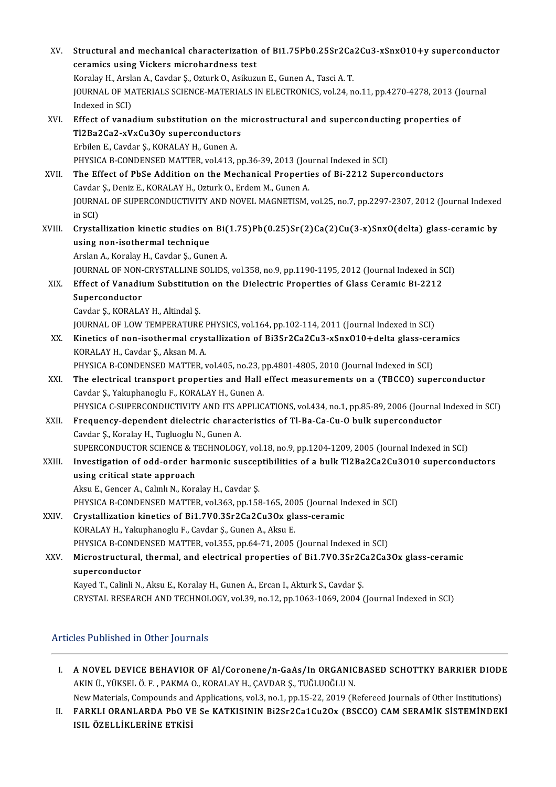XV. Structural andmechanical characterization of Bi1.75Pb0.25Sr2Ca2Cu3-xSnxO10+y superconductor Structural and mechanical characterization<br>ceramics using Vickers microhardness test<br>Karaku H. Arakan A. Gardar S. Orturk O. Asilum Structural and mechanical characterization of Bi1.75Pb0.25Sr2Ca<br>ceramics using Vickers microhardness test<br>Koralay H., Arslan A., Cavdar Ş., Ozturk O., Asikuzun E., Gunen A., Tasci A. T.<br>JOUPMAL OF MATERIALS SCIENCE MATERIA ceramics using Vickers microhardness test<br>Koralay H., Arslan A., Cavdar Ș., Ozturk O., Asikuzun E., Gunen A., Tasci A. T.<br>JOURNAL OF MATERIALS SCIENCE-MATERIALS IN ELECTRONICS, vol.24, no.11, pp.4270-4278, 2013 (Journal Indexed in SCI) JOURNAL OF MATERIALS SCIENCE-MATERIALS IN ELECTRONICS, vol.24, no.11, pp.4270-4278, 2013 (J.<br>Indexed in SCI)<br>XVI. Effect of vanadium substitution on the microstructural and superconducting properties of<br>T12B22C22 xWyCu2Ov Indexed in SCI)<br>Effect of vanadium substitution on the r<br>Tl2Ba2Ca2-xVxCu3Oy superconductors<br>Erbilon E. Caydar S. KOPALAY H. Gunan A Effect of vanadium substitution on the<br>Tl2Ba2Ca2-xVxCu3Oy superconductor:<br>Erbilen E., Cavdar Ş., KORALAY H., Gunen A.<br>PHYSICA P. CONDENSED MATTER, vol.413 Tl2Ba2Ca2-xVxCu3Oy superconductors<br>Erbilen E., Cavdar Ş., KORALAY H., Gunen A.<br>PHYSICA B-CONDENSED MATTER, vol.413, pp.36-39, 2013 (Journal Indexed in SCI)<br>The Effect of PhSe Addition on the Mechanical Properties of Bi 221 Erbilen E., Cavdar Ş., KORALAY H., Gunen A.<br>PHYSICA B-CONDENSED MATTER, vol.413, pp.36-39, 2013 (Journal Indexed in SCI)<br>XVII. The Effect of PbSe Addition on the Mechanical Properties of Bi-2212 Superconductors PHYSICA B-CONDENSED MATTER, vol.413, pp.36-39, 2013 (Journal Propertical Propertical Propertical Propertical Propertical Propertical Propertical Propertical Propertical Propertical Propertical Propertical Propertical Prope JOURNAL OF SUPERCONDUCTIVITY AND NOVEL MAGNETISM, vol.25, no.7, pp.2297-2307, 2012 (Journal Indexed<br>in SCI) Cavdar S., Deniz E., KORALAY H., Ozturk O., Erdem M., Gunen A. JOURNAL OF SUPERCONDUCTIVITY AND NOVEL MAGNETISM, vol.25, no.7, pp.2297-2307, 2012 (Journal Indexed<br>in SCI)<br>XVIII. Crystallization kinetic studies on Bi(1.75)Pb(0.25)Sr(2)Ca(2)Cu(3-x)SnxO(delta) glass-ceramic by<br>using nonin SCI)<br>Crystallization kinetic studies on<br>using non-isothermal technique<br>Arslan A. Karslau H. Gaudar S. Guns Crystallization kinetic studies on Bi(<br>using non-isothermal technique<br>Arslan A., Koralay H., Cavdar Ş., Gunen A.<br>JOUPMAL OF NON CRYSTALLINE SOLIDS using non-isothermal technique<br>Arslan A., Koralay H., Cavdar Ş., Gunen A.<br>JOURNAL OF NON-CRYSTALLINE SOLIDS, vol.358, no.9, pp.1190-1195, 2012 (Journal Indexed in SCI) Arslan A., Koralay H., Cavdar Ș., Gunen A.<br>JOURNAL OF NON-CRYSTALLINE SOLIDS, vol.358, no.9, pp.1190-1195, 2012 (Journal Indexed in St.<br>XIX. Effect of Vanadium Substitution on the Dielectric Properties of Glass Ceramic **JOURNAL OF NON-<br>Effect of Vanadii<br>Superconductor**<br>Caydan S. KOBALA Effect of Vanadium Substitutic<br>Superconductor<br>Cavdar Ş., KORALAY H., Altindal Ş.<br>JOUPNAL OF LOW TEMPERATURE Superconductor<br>Cavdar Ş., KORALAY H., Altindal Ş.<br>JOURNAL OF LOW TEMPERATURE PHYSICS, vol.164, pp.102-114, 2011 (Journal Indexed in SCI)<br>Kinetics of non-isothermal crystallization of Bi2Sr2Ca2Cu2, xSpxQ10 Ldelta glass, ser Cavdar Ş., KORALAY H., Altindal Ş.<br>JOURNAL OF LOW TEMPERATURE PHYSICS, vol.164, pp.102-114, 2011 (Journal Indexed in SCI)<br>XX. Kinetics of non-isothermal crystallization of Bi3Sr2Ca2Cu3-xSnxO10+delta glass-ceramics<br>KORALAY **JOURNAL OF LOW TEMPERATURE I<br>Kinetics of non-isothermal crys<br>KORALAY H., Cavdar Ş., Aksan M. A.<br>PHYSICA P. CONDENSED MATTED.** Kinetics of non-isothermal crystallization of Bi3Sr2Ca2Cu3-xSnx010+delta glass-cer<br>KORALAY H., Cavdar Ş., Aksan M. A.<br>PHYSICA B-CONDENSED MATTER, vol.405, no.23, pp.4801-4805, 2010 (Journal Indexed in SCI)<br>The electrical t XXI. The electrical transport properties and Hall effect measurements on a (TBCCO) superconductor<br>Cavdar S., Yakuphanoglu F., KORALAY H., Gunen A. PHYSICA B-CONDENSED MATTER, vol.405, no.23, p<br>The electrical transport properties and Hall<br>Cavdar Ş., Yakuphanoglu F., KORALAY H., Gunen A.<br>PHYSICA C SUPERCONDUCTIVITY AND ITS APPLIC PHYSICA C-SUPERCONDUCTIVITY AND ITS APPLICATIONS, vol.434, no.1, pp.85-89, 2006 (Journal Indexed in SCI) XXII. Frequency-dependent dielectric characteristics of Tl-Ba-Ca-Cu-O bulk superconductor Cavdar Ş., Koralay H., Tugluoglu N., Gunen A. Frequency-dependent dielectric characteristics of Tl-Ba-Ca-Cu-O bulk superconductor<br>Cavdar Ş., Koralay H., Tugluoglu N., Gunen A.<br>SUPERCONDUCTOR SCIENCE & TECHNOLOGY, vol.18, no.9, pp.1204-1209, 2005 (Journal Indexed in SC XXIII. Investigation of odd-order harmonic susceptibilities of a bulk Tl2Ba2Ca2Cu3O10 superconductors<br>using critical state approach SUPERCONDUCTOR SCIENCE & T<br>Investigation of odd-order has<br>using critical state approach Aksu E., Gencer A., Calınlı N., Koralay H., Cavdar Ş. using critical state approach<br>Aksu E., Gencer A., Calınlı N., Koralay H., Cavdar Ş.<br>PHYSICA B-CONDENSED MATTER, vol.363, pp.158-165, 2005 (Journal Indexed in SCI)<br>Crystalliration kinatiss of Bi1 7V0 25x2Co2Cv2Oy glass, ser Aksu E., Gencer A., Calınlı N., Koralay H., Cavdar Ş.<br>PHYSICA B-CONDENSED MATTER, vol.363, pp.158-165, 2005 (Journal In<br>XXIV. Crystallization kinetics of Bi1.7V0.3Sr2Ca2Cu3Ox glass-ceramic<br>KORALAY H. Valunbanesul E. Cavdar PHYSICA B-CONDENSED MATTER, vol.363, pp.158-165, 200<br>Crystallization kinetics of Bi1.7V0.3Sr2Ca2Cu3Ox gla<br>KORALAY H., Yakuphanoglu F., Cavdar Ş., Gunen A., Aksu E.<br>PHYSICA R. CONDENSED MATTER, vol.355, pp.64.71, 2005 Crystallization kinetics of Bi1.7V0.3Sr2Ca2Cu3Ox glass-ceramic<br>KORALAY H., Yakuphanoglu F., Cavdar Ş., Gunen A., Aksu E.<br>PHYSICA B-CONDENSED MATTER, vol.355, pp.64-71, 2005 (Journal Indexed in SCI) KORALAY H., Yakuphanoglu F., Cavdar Ş., Gunen A., Aksu E.<br>PHYSICA B-CONDENSED MATTER, vol.355, pp.64-71, 2005 (Journal Indexed in SCI)<br>XXV. Microstructural, thermal, and electrical properties of Bi1.7V0.3Sr2Ca2Ca3Ox glass-PHYSICA B-CONDE<br>Microstructural,<br>superconductor<br>Kayad T. Calinli N. Microstructural, thermal, and electrical properties of Bi1.7V0.3Sr2C<br>superconductor<br>Kayed T., Calinli N., Aksu E., Koralay H., Gunen A., Ercan I., Akturk S., Cavdar Ş.<br>CRYSTAL RESEARCH AND TECHNOLOCY Vel 39, no 12, np 1063 superconductor<br>Kayed T., Calinli N., Aksu E., Koralay H., Gunen A., Ercan I., Akturk S., Cavdar Ş.<br>CRYSTAL RESEARCH AND TECHNOLOGY, vol.39, no.12, pp.1063-1069, 2004 (Journal Indexed in SCI)

# Articles Published in Other Journals

- Itticles Published in Other Journals<br>I. A NOVEL DEVICE BEHAVIOR OF Al/Coronene/n-GaAs/In ORGANICBASED SCHOTTKY BARRIER DIODE<br>AKIN ÜL VÜKSEL Ö E. PAKMA O. KORALAV H. GAVDAR S. TUĞLUQĞLU N A NOVEL DEVICE BEHAVIOR OF Al/Coronene/n-GaAs/In ORGANIC<br>AKIN Ü., YÜKSEL Ö. F. , PAKMA O., KORALAY H., ÇAVDAR Ş., TUĞLUOĞLU N.<br>Nav Materials Compounds and Annlisations vol 3-no 1-nn 15-22-2019 (B A NOVEL DEVICE BEHAVIOR OF Al/Coronene/n-GaAs/In ORGANICBASED SCHOTTKY BARRIER DIODI<br>AKIN Ü., YÜKSEL Ö. F. , PAKMA O., KORALAY H., ÇAVDAR Ş., TUĞLUOĞLU N.<br>New Materials, Compounds and Applications, vol.3, no.1, pp.15-22, 2
- AKIN Ü., YÜKSEL Ö. F. , PAKMA O., KORALAY H., ÇAVDAR Ş., TUĞLUOĞLU N.<br>New Materials, Compounds and Applications, vol.3, no.1, pp.15-22, 2019 (Refereed Journals of Other Institutions)<br>II. FARKLI ORANLARDA PbO VE Se KATKISIN New Materials, Compounds and<br>FARKLI ORANLARDA PbO VI<br>ISIL ÖZELLİKLERİNE ETKİSİ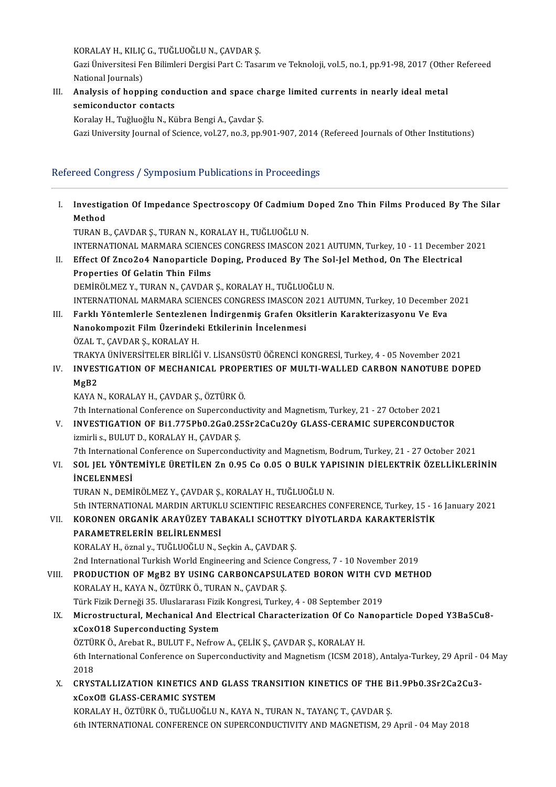KORALAY H., KILIÇ G., TUĞLUOĞLU N., ÇAVDAR Ş.

KORALAY H., KILIÇ G., TUĞLUOĞLU N., ÇAVDAR Ş.<br>Gazi Üniversitesi Fen Bilimleri Dergisi Part C: Tasarım ve Teknoloji, vol.5, no.1, pp.91-98, 2017 (Other Refereed KORALAY H., KILIÇ<br>Gazi Üniversitesi Fe<br>National Journals)<br>Analygia of bonn Gazi Üniversitesi Fen Bilimleri Dergisi Part C: Tasarım ve Teknoloji, vol.5, no.1, pp.91-98, 2017 (Othe<br>National Journals)<br>III. Analysis of hopping conduction and space charge limited currents in nearly ideal metal<br>asmicon

# National Journals)<br><mark>Analysis of hopping cont</mark><br>semiconductor contacts<br>Koralav H. Tuğluoğlu N. Kö Analysis of hopping conduction and space ch<br>semiconductor contacts<br>Koralay H., Tuğluoğlu N., Kübra Bengi A., Çavdar Ş.<br>Cari University Journal of Ssiense vol 27 no 2, np 6

semiconductor contacts<br>Koralay H., Tuğluoğlu N., Kübra Bengi A., Çavdar Ş.<br>Gazi University Journal of Science, vol.27, no.3, pp.901-907, 2014 (Refereed Journals of Other Institutions)

# Refereed Congress / Symposium Publications in Proceedings

| Ι.    | Investigation Of Impedance Spectroscopy Of Cadmium Doped Zno Thin Films Produced By The Silar                                                                                                                                         |
|-------|---------------------------------------------------------------------------------------------------------------------------------------------------------------------------------------------------------------------------------------|
|       | Method<br>TURAN B., ÇAVDAR Ş., TURAN N., KORALAY H., TUĞLUOĞLU N.                                                                                                                                                                     |
|       | INTERNATIONAL MARMARA SCIENCES CONGRESS IMASCON 2021 AUTUMN, Turkey, 10 - 11 December 2021                                                                                                                                            |
| Н.    | Effect Of Znco2o4 Nanoparticle Doping, Produced By The Sol-Jel Method, On The Electrical                                                                                                                                              |
|       | Properties Of Gelatin Thin Films                                                                                                                                                                                                      |
|       | DEMİRÖLMEZ Y., TURAN N., ÇAVDAR Ş., KORALAY H., TUĞLUOĞLU N.                                                                                                                                                                          |
| III.  | INTERNATIONAL MARMARA SCIENCES CONGRESS IMASCON 2021 AUTUMN, Turkey, 10 December 2021<br>Farklı Yöntemlerle Sentezlenen İndirgenmiş Grafen Oksitlerin Karakterizasyonu Ve Eva<br>Nanokompozit Film Üzerindeki Etkilerinin İncelenmesi |
|       | ÖZAL T, ÇAVDAR Ş, KORALAY H.                                                                                                                                                                                                          |
|       | TRAKYA ÜNİVERSİTELER BİRLİĞİ V. LİSANSÜSTÜ ÖĞRENCİ KONGRESİ, Turkey, 4 - 05 November 2021                                                                                                                                             |
| IV.   | INVESTIGATION OF MECHANICAL PROPERTIES OF MULTI-WALLED CARBON NANOTUBE DOPED<br>MgB2                                                                                                                                                  |
|       | KAYA N., KORALAY H., ÇAVDAR Ş., ÖZTÜRK Ö.                                                                                                                                                                                             |
|       | 7th International Conference on Superconductivity and Magnetism, Turkey, 21 - 27 October 2021                                                                                                                                         |
| V.    | INVESTIGATION OF Bi1.775Pb0.2Ga0.25Sr2CaCu2Oy GLASS-CERAMIC SUPERCONDUCTOR<br>izmirli s., BULUT D., KORALAY H., ÇAVDAR Ş.                                                                                                             |
|       | 7th International Conference on Superconductivity and Magnetism, Bodrum, Turkey, 21 - 27 October 2021                                                                                                                                 |
| VI.   | SOL JEL YÖNTEMİYLE ÜRETİLEN Zn 0.95 Co 0.05 O BULK YAPISININ DİELEKTRİK ÖZELLİKLERİNİN<br><b>INCELENMESI</b>                                                                                                                          |
|       | TURAN N., DEMİRÖLMEZ Y., ÇAVDAR Ş., KORALAY H., TUĞLUOĞLU N.                                                                                                                                                                          |
| VII.  | 5th INTERNATIONAL MARDIN ARTUKLU SCIENTIFIC RESEARCHES CONFERENCE, Turkey, 15 - 16 January 2021<br>KORONEN ORGANIK ARAYÜZEY TABAKALI SCHOTTKY DİYOTLARDA KARAKTERİSTİK                                                                |
|       | PARAMETRELERIN BELIRLENMESI                                                                                                                                                                                                           |
|       | KORALAY H., öznal y., TUĞLUOĞLU N., Seçkin A., ÇAVDAR Ş.                                                                                                                                                                              |
|       | 2nd International Turkish World Engineering and Science Congress, 7 - 10 November 2019                                                                                                                                                |
| VIII. | PRODUCTION OF MgB2 BY USING CARBONCAPSULATED BORON WITH CVD METHOD<br>KORALAY H., KAYA N., ÖZTÜRK Ö., TURAN N., ÇAVDAR Ş.                                                                                                             |
|       | Türk Fizik Derneği 35. Uluslararası Fizik Kongresi, Turkey, 4 - 08 September 2019                                                                                                                                                     |
| IX.   | Microstructural, Mechanical And Electrical Characterization Of Co Nanoparticle Doped Y3Ba5Cu8-<br>xCox018 Superconducting System                                                                                                      |
|       | ÖZTÜRK Ö., Arebat R., BULUT F., Nefrow A., ÇELİK Ş., ÇAVDAR Ş., KORALAY H.                                                                                                                                                            |
|       | 6th International Conference on Superconductivity and Magnetism (ICSM 2018), Antalya-Turkey, 29 April - 04 May<br>2018                                                                                                                |
| X.    | CRYSTALLIZATION KINETICS AND GLASS TRANSITION KINETICS OF THE Bi1.9Pb0.3Sr2Ca2Cu3-<br><b>xCoxOZ GLASS-CERAMIC SYSTEM</b>                                                                                                              |
|       | KORALAY H., ÖZTÜRK Ö., TUĞLUOĞLU N., KAYA N., TURAN N., TAYANÇ T., ÇAVDAR Ş.                                                                                                                                                          |
|       | 6th INTERNATIONAL CONFERENCE ON SUPERCONDUCTIVITY AND MAGNETISM, 29 April - 04 May 2018                                                                                                                                               |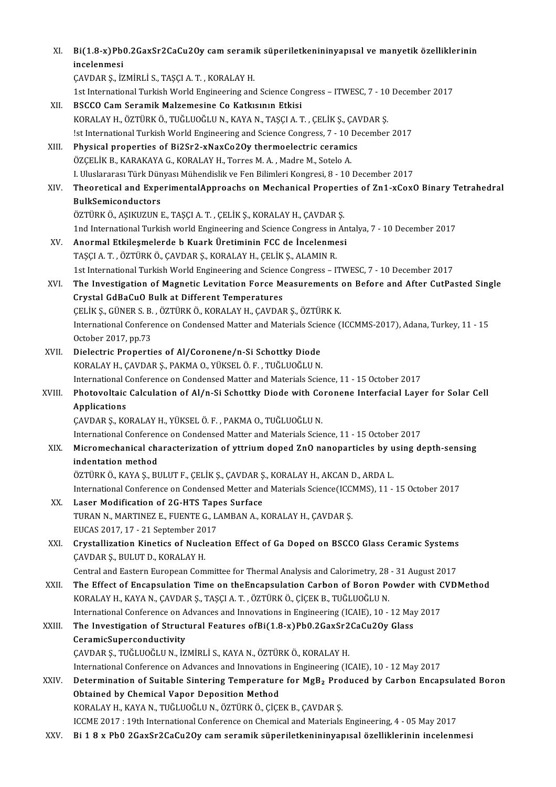| XI.    | Bi(1.8-x)Pb0.2GaxSr2CaCu2Oy cam seramik süperiletkenininyapısal ve manyetik özelliklerinin<br>incelenmesi  |
|--------|------------------------------------------------------------------------------------------------------------|
|        | ÇAVDAR Ş., İZMİRLİ S., TAŞÇI A. T., KORALAY H.                                                             |
|        | 1st International Turkish World Engineering and Science Congress - ITWESC, 7 - 10 December 2017            |
| XII.   | BSCCO Cam Seramik Malzemesine Co Katkısının Etkisi                                                         |
|        | KORALAY H., ÖZTÜRK Ö., TUĞLUOĞLU N., KAYA N., TAŞÇI A. T. , ÇELİK Ş., ÇAVDAR Ş.                            |
|        | !st International Turkish World Engineering and Science Congress, 7 - 10 December 2017                     |
| XIII.  | Physical properties of Bi2Sr2-xNaxCo2Oy thermoelectric ceramics                                            |
|        | ÖZÇELİK B., KARAKAYA G., KORALAY H., Torres M. A., Madre M., Sotelo A.                                     |
|        | I. Uluslararası Türk Dünyası Mühendislik ve Fen Bilimleri Kongresi, 8 - 10 December 2017                   |
| XIV.   | Theoretical and ExperimentalApproachs on Mechanical Properties of Zn1-xCoxO Binary Tetrahedral             |
|        | <b>BulkSemiconductors</b>                                                                                  |
|        | ÖZTÜRK Ö., AŞIKUZUN E., TAŞÇI A. T. , ÇELİK Ş., KORALAY H., ÇAVDAR Ş.                                      |
|        | 1nd International Turkish world Engineering and Science Congress in Antalya, 7 - 10 December 2017          |
| XV.    | Anormal Etkileşmelerde b Kuark Üretiminin FCC de İncelenmesi                                               |
|        | TAŞÇI A. T. , ÖZTÜRK Ö., ÇAVDAR Ş., KORALAY H., ÇELİK Ş., ALAMIN R.                                        |
|        | 1st International Turkish World Engineering and Science Congress - ITWESC, 7 - 10 December 2017            |
| XVI.   | The Investigation of Magnetic Levitation Force Measurements on Before and After CutPasted Single           |
|        | Crystal GdBaCuO Bulk at Different Temperatures                                                             |
|        | ÇELİK Ş., GÜNER S. B., ÖZTÜRK Ö., KORALAY H., ÇAVDAR Ş., ÖZTÜRK K.                                         |
|        | International Conference on Condensed Matter and Materials Science (ICCMMS-2017), Adana, Turkey, 11 - 15   |
|        | October 2017, pp.73                                                                                        |
| XVII.  | Dielectric Properties of Al/Coronene/n-Si Schottky Diode                                                   |
|        | KORALAY H., ÇAVDAR Ş., PAKMA O., YÜKSEL Ö. F., TUĞLUOĞLU N.                                                |
|        | International Conference on Condensed Matter and Materials Science, 11 - 15 October 2017                   |
| XVIII. | Photovoltaic Calculation of Al/n-Si Schottky Diode with Coronene Interfacial Layer for Solar Cell          |
|        | Applications                                                                                               |
|        | ÇAVDAR Ş., KORALAY H., YÜKSEL Ö. F., PAKMA O., TUĞLUOĞLU N.                                                |
|        | International Conference on Condensed Matter and Materials Science, 11 - 15 October 2017                   |
| XIX.   | Micromechanical characterization of yttrium doped ZnO nanoparticles by using depth-sensing                 |
|        | indentation method                                                                                         |
|        | ÖZTÜRK Ö., KAYA Ş., BULUT F., ÇELİK Ş., ÇAVDAR Ş., KORALAY H., AKCAN D., ARDA L.                           |
|        | International Conference on Condensed Metter and Materials Science(ICCMMS), 11 - 15 October 2017           |
| XX.    | Laser Modification of 2G-HTS Tapes Surface                                                                 |
|        | TURAN N., MARTINEZ E., FUENTE G., LAMBAN A., KORALAY H., ÇAVDAR Ş.                                         |
|        | EUCAS 2017, 17 - 21 September 2017                                                                         |
| XXI.   | Crystallization Kinetics of Nucleation Effect of Ga Doped on BSCCO Glass Ceramic Systems                   |
|        | ÇAVDAR Ş., BULUT D., KORALAY H.                                                                            |
|        | Central and Eastern European Committee for Thermal Analysis and Calorimetry, 28 - 31 August 2017           |
| XXII.  | The Effect of Encapsulation Time on theEncapsulation Carbon of Boron Powder with CVDMethod                 |
|        | KORALAY H., KAYA N., ÇAVDAR Ş., TAŞÇI A. T. , ÖZTÜRK Ö., ÇİÇEK B., TUĞLUOĞLU N.                            |
|        | International Conference on Advances and Innovations in Engineering (ICAIE), 10 - 12 May 2017              |
| XXIII. | The Investigation of Structural Features ofBi(1.8-x)Pb0.2GaxSr2CaCu2Oy Glass                               |
|        | CeramicSuperconductivity                                                                                   |
|        | ÇAVDAR Ş., TUĞLUOĞLU N., İZMİRLİ S., KAYA N., ÖZTÜRK Ö., KORALAY H.                                        |
|        | International Conference on Advances and Innovations in Engineering (ICAIE), 10 - 12 May 2017              |
| XXIV.  | Determination of Suitable Sintering Temperature for MgB <sub>2</sub> Produced by Carbon Encapsulated Boron |
|        | Obtained by Chemical Vapor Deposition Method                                                               |
|        | KORALAY H., KAYA N., TUĞLUOĞLU N., ÖZTÜRK Ö., ÇİÇEK B., ÇAVDAR Ş.                                          |
|        | ICCME 2017 : 19th International Conference on Chemical and Materials Engineering, 4 - 05 May 2017          |
| XXV.   | Bi 18 x Pb0 2GaxSr2CaCu2Oy cam seramik süperiletkenininyapısal özelliklerinin incelenmesi                  |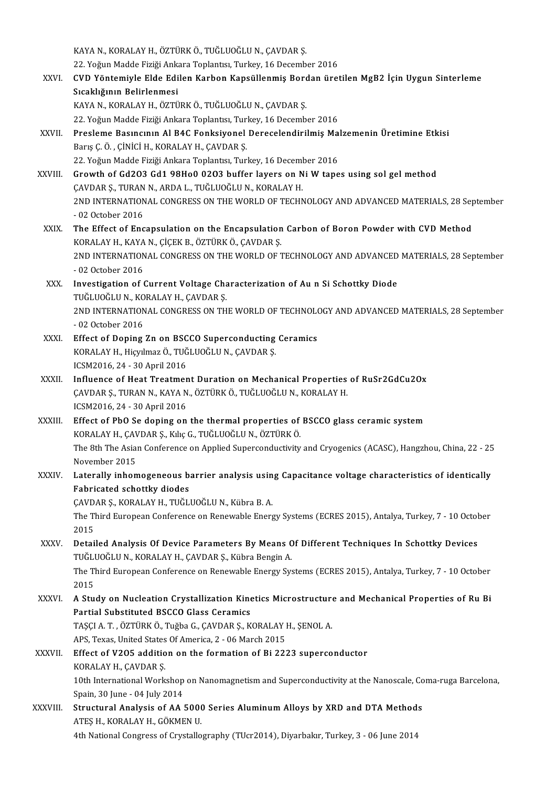KAYAN.,KORALAYH.,ÖZTÜRKÖ.,TUĞLUOĞLUN.,ÇAVDARŞ.

KAYA N., KORALAY H., ÖZTÜRK Ö., TUĞLUOĞLU N., ÇAVDAR Ş.<br>22. Yoğun Madde Fiziği Ankara Toplantısı, Turkey, 16 December 2016<br>CVD Yöntemiyle Elde Edilen Karban Kanaüllenmiş Bardan ünst

- XXVI. CVD Yöntemiyle Elde Edilen Karbon Kapsüllenmiş Bordan üretilen MgB2 İçin Uygun Sinterleme<br>Sıcaklığının Belirlenmesi 22. Yoğun Madde Fiziği Ank<mark>ı</mark><br>CVD Yöntemiyle Elde Edi<br>Sıcaklığının Belirlenmesi<br>KAVA N. KORALAY H. ÖZTÜ KAYA N., KORALAY H., ÖZTÜRK Ö., TUĞLUOĞLU N., ÇAVDAR Ş.
	- 22. Yoğun Madde Fiziği Ankara Toplantısı, Turkey, 16 December 2016
- KAYA N., KORALAY H., ÖZTÜRK Ö., TUĞLUOĞLU N., ÇAVDAR Ş.<br>22. Yoğun Madde Fiziği Ankara Toplantısı, Turkey, 16 December 2016<br>XXVII. Presleme Basıncının Al B4C Fonksiyonel Derecelendirilmiş Malzemenin Üretimine Etkisi 22. Yoğun Madde Fiziği Ankara Toplantısı, Turi<br>Presleme Basıncının Al B4C Fonksiyonel<br>Barış Ç. Ö. , ÇİNİCİ H., KORALAY H., ÇAVDAR Ş.<br>22. Yoğun Madde Fiziği Ankara Toplantısı, Turi Presleme Basıncının Al B4C Fonksiyonel Derecelendirilmiş Mal<br>Barış Ç. Ö. , ÇİNİCİ H., KORALAY H., ÇAVDAR Ş.<br>22. Yoğun Madde Fiziği Ankara Toplantısı, Turkey, 16 December 2016<br>Crowth of G4202 G41 98H99 9202 buffor layers on Barış Ç. Ö. , ÇİNİCİ H., KORALAY H., ÇAVDAR Ş.<br>22. Yoğun Madde Fiziği Ankara Toplantısı, Turkey, 16 December 2016<br>XXVIII. GAVDAR S. TURAN N. ARDA L. TUĞLUQĞLU N. KORALAY H
- 22. Yoğun Madde Fiziği Ankara Toplantısı, Turkey, 16 Deceml<br>Growth of Gd2O3 Gd1 98Ho0 02O3 buffer layers on N<br>ÇAVDAR Ş., TURAN N., ARDA L., TUĞLUOĞLU N., KORALAY H.<br>2ND INTERNATIONAL CONCRESS ON THE WORLD OF TECHN Growth of Gd2O3 Gd1 98Ho0 02O3 buffer layers on Ni W tapes using sol gel method<br>ÇAVDAR Ş., TURAN N., ARDA L., TUĞLUOĞLU N., KORALAY H.<br>2ND INTERNATIONAL CONGRESS ON THE WORLD OF TECHNOLOGY AND ADVANCED MATERIALS, 28 Septem CAVDAR Ș., TURAN<br>2ND INTERNATION<br>- 02 October 2016<br>The Effect of Ene 2ND INTERNATIONAL CONGRESS ON THE WORLD OF TECHNOLOGY AND ADVANCED MATERIALS, 28 Sep<br>- 02 October 2016<br>XXIX. The Effect of Encapsulation on the Encapsulation Carbon of Boron Powder with CVD Method<br>KORALAY H. KAYA N. CICEV
- 02 October 2016<br>The Effect of Encapsulation on the Encapsulation Carbon of Boron Powder with CVD Method<br>KORALAY H., KAYA N., ÇİÇEK B., ÖZTÜRK Ö., ÇAVDAR Ş. The Effect of Encapsulation on the Encapsulation Carbon of Boron Powder with CVD Method<br>KORALAY H., KAYA N., ÇİÇEK B., ÖZTÜRK Ö., ÇAVDAR Ş.<br>2ND INTERNATIONAL CONGRESS ON THE WORLD OF TECHNOLOGY AND ADVANCED MATERIALS, 28 S KORALAY H., KAYA<br>2ND INTERNATION<br>- 02 October 2016<br>Investigation of 6 2ND INTERNATIONAL CONGRESS ON THE WORLD OF TECHNOLOGY AND ADVANCED<br>- 02 October 2016<br>XXX. Investigation of Current Voltage Characterization of Au n Si Schottky Diode<br>TUČU UQČU N KORALAY H CAVDAR S
- 02 October 2016<br>Investigation of Current Voltage Cha<br>TUĞLUOĞLU N., KORALAY H., ÇAVDAR Ş.<br>2ND INTERNATIONAL CONCRESS ON TH Investigation of Current Voltage Characterization of Au n Si Schottky Diode<br>TUĞLUOĞLU N., KORALAY H., ÇAVDAR Ş.<br>2ND INTERNATIONAL CONGRESS ON THE WORLD OF TECHNOLOGY AND ADVANCED MATERIALS, 28 September<br>02 Ostabar 2016 TUĞLUOĞLU N., KO<br>2ND INTERNATION<br>- 02 October 2016<br>Effect of Doning
- 2ND INTERNATIONAL CONGRESS ON THE WORLD OF TECHNOLO<br>- 02 October 2016<br>XXXI. Effect of Doping Zn on BSCCO Superconducting Ceramics<br>XORALAY H. Highlmag Ö, THČLHOČLH N. CAVDAR S - 02 October 2016<br>Effect of Doping Zn on BSCCO Superconducting<br>KORALAY H., Hiçyılmaz Ö., TUĞLUOĞLU N., ÇAVDAR Ş.<br>ICSM2016 24 - 20 April 2016 Effect of Doping Zn on BSC<br>KORALAY H., Hiçyılmaz Ö., TUĞ<br>ICSM2016, 24 - 30 April 2016<br>Influence of Heat Treatmen
- ICSM2016, 24 30 April 2016<br>XXXII. Influence of Heat Treatment Duration on Mechanical Properties of RuSr2GdCu2Ox ICSM2016, 24 - 30 April 2016<br>Influence of Heat Treatment Duration on Mechanical Properties<br>ÇAVDAR Ş., TURAN N., KAYA N., ÖZTÜRK Ö., TUĞLUOĞLU N., KORALAY H.<br>ICSM2016, 24, .30 April 2016 Influence of Heat Treatmer<br>ÇAVDAR Ş., TURAN N., KAYA N<br>ICSM2016, 24 - 30 April 2016<br>Effect of PbQ Se dening on
- ICSM2016, 24 30 April 2016<br>XXXIII. Effect of PbO Se doping on the thermal properties of BSCCO glass ceramic system ICSM2016, 24 - 30 April 2016<br>Effect of PbO Se doping on the thermal properties of<br>KORALAY H., ÇAVDAR Ş., Kılıç G., TUĞLUOĞLU N., ÖZTÜRK Ö.<br>The <sup>9th</sup> The Asian Conference on Annlied Sunersendustivity The 8th The Asian Conference on Applied Superconductivity and Cryogenics (ACASC), Hangzhou, China, 22 - 25<br>November 2015 KORALAY H., ÇAV<br>The 8th The Asia<br>November 2015<br>Latarally inham The 8th The Asian Conference on Applied Superconductivity and Cryogenics (ACASC), Hangzhou, China, 22 - 25<br>November 2015<br>XXXIV. Laterally inhomogeneous barrier analysis using Capacitance voltage characteristics of identica
- November 2015<br>Laterally inhomogeneous b:<br>Fabricated schottky diodes<br>CAVDAR S, KORALAY H, TUČU Laterally inhomogeneous barrier analysis usin<br>Fabricated schottky diodes<br>ÇAVDAR Ş., KORALAY H., TUĞLUOĞLU N., Kübra B. A.<br>The Third Euronean Conference en Peneuphle Energ

Fabricated schottky diodes<br>ÇAVDAR Ş., KORALAY H., TUĞLUOĞLU N., Kübra B. A.<br>The Third European Conference on Renewable Energy Systems (ECRES 2015), Antalya, Turkey, 7 - 10 October<br>2015 CAVD.<br>The Tl<br>2015<br>Petai The Third European Conference on Renewable Energy Systems (ECRES 2015), Antalya, Turkey, 7 - 10 Octol<br>2015<br>XXXV. Detailed Analysis Of Device Parameters By Means Of Different Techniques In Schottky Devices<br>THELIOCLUM KORALA

2015<br>Detailed Analysis Of Device Parameters By Means C<br>TUĞLUOĞLU N., KORALAY H., ÇAVDAR Ş., Kübra Bengin A.<br>The Third European Conference en Penewable Energy Sy Detailed Analysis Of Device Parameters By Means Of Different Techniques In Schottky Devices<br>TUĞLUOĞLU N., KORALAY H., ÇAVDAR Ş., Kübra Bengin A.<br>The Third European Conference on Renewable Energy Systems (ECRES 2015), Antal TUĞLUOĞLU N., KORALAY H., ÇAVDAR Ş., Kübra Bengin A.<br>The Third European Conference on Renewable Energy Systems (ECRES 2015), Antalya, Turkey, 7 - 10 October<br>2015

The Third European Conference on Renewable Energy Systems (ECRES 2015), Antalya, Turkey, 7 - 10 October<br>2015<br>XXXVI. A Study on Nucleation Crystallization Kinetics Microstructure and Mechanical Properties of Ru Bi<br>Partial S

2015<br>A Study on Nucleation Crystallization Kine<br>Partial Substituted BSCCO Glass Ceramics<br>TASCLA T. ÖZTÜRKÖ Tyğba C. CAVDAR S. K A Study on Nucleation Crystallization Kinetics Microstructure<br>Partial Substituted BSCCO Glass Ceramics<br>TAŞÇI A.T.,ÖZTÜRKÖ.,Tuğba G., ÇAVDAR Ş., KORALAY H., ŞENOL A. Partial Substituted BSCCO Glass Ceramics<br>TASCI A.T., ÖZTÜRK Ö., Tuğba G., ÇAVDAR Ş., KORALAY H., ŞENOL A.

APS, Texas, United States Of America, 2 - 06 March 2015

XXXVII. Effect of V205 addition on the formation of Bi 2223 superconductor<br>KORALAY H., CAVDAR S.

Effect of V205 addition on the formation of Bi 2223 superconductor<br>KORALAY H., ÇAVDAR Ş.<br>10th International Workshop on Nanomagnetism and Superconductivity at the Nanoscale, Coma-ruga Barcelona,<br>Spain 20 June - 04 July 201 KORALAY H., ÇAVDAR Ş.<br>10th International Workshop<br>Spain, 30 June - 04 July 2014<br>Strustural Analysis of AA 10th International Workshop on Nanomagnetism and Superconductivity at the Nanoscale, Co<br>Spain, 30 June - 04 July 2014<br>XXXVIII. Structural Analysis of AA 5000 Series Aluminum Alloys by XRD and DTA Methods<br>ATES U. KORALAY U.

Spain, 30 June - 04 July 2014<br>Structural Analysis of AA 5000 Series Aluminum Alloys by XRD and DTA Methods<br>ATES H., KORALAY H., GÖKMEN U. 4th National Congress of Crystallography (TUcr2014), Diyarbakır, Turkey, 3 - 06 June 2014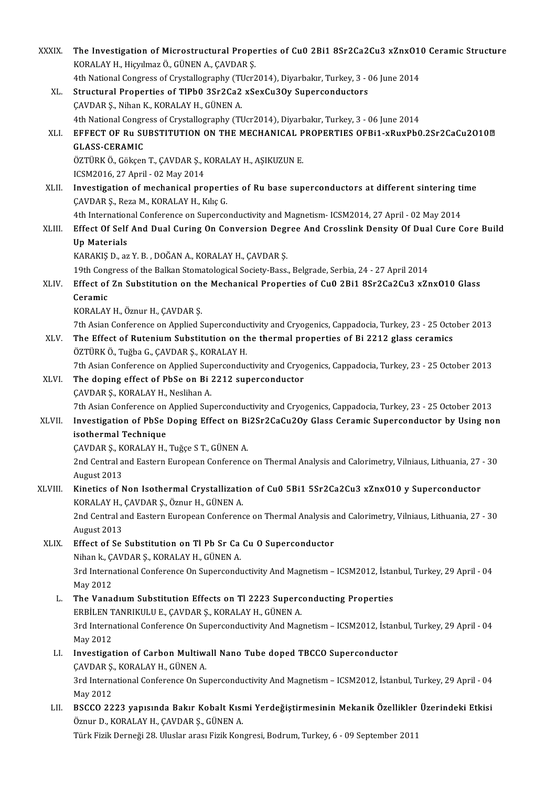| XXXIX.  | The Investigation of Microstructural Properties of Cu0 2Bi1 8Sr2Ca2Cu3 xZnx010 Ceramic Structure<br>KORALAY H., Hiçyılmaz Ö., GÜNEN A., ÇAVDAR Ş. |
|---------|---------------------------------------------------------------------------------------------------------------------------------------------------|
|         | 4th National Congress of Crystallography (TUcr2014), Diyarbakır, Turkey, 3 - 06 June 2014                                                         |
| XL.     | Structural Properties of TlPb0 3Sr2Ca2 xSexCu3Oy Superconductors                                                                                  |
|         | ÇAVDAR Ş., Nihan K., KORALAY H., GÜNEN A.                                                                                                         |
|         | 4th National Congress of Crystallography (TUcr2014), Diyarbakır, Turkey, 3 - 06 June 2014                                                         |
| XLI.    | EFFECT OF Ru SUBSTITUTION ON THE MECHANICAL PROPERTIES OFBi1-xRuxPb0.2Sr2CaCu2O10 <sup>®</sup>                                                    |
|         | <b>GLASS-CERAMIC</b>                                                                                                                              |
|         | ÖZTÜRK Ö., Gökçen T., ÇAVDAR Ş., KORALAY H., AŞIKUZUN E.                                                                                          |
|         | ICSM2016, 27 April - 02 May 2014                                                                                                                  |
| XLII.   | Investigation of mechanical properties of Ru base superconductors at different sintering time                                                     |
|         | ÇAVDAR Ş., Reza M., KORALAY H., Kılıç G.                                                                                                          |
|         | 4th International Conference on Superconductivity and Magnetism- ICSM2014, 27 April - 02 May 2014                                                 |
| XLIII.  | Effect Of Self And Dual Curing On Conversion Degree And Crosslink Density Of Dual Cure Core Build                                                 |
|         | <b>Up Materials</b>                                                                                                                               |
|         | KARAKIŞ D., az Y. B., DOĞAN A., KORALAY H., ÇAVDAR Ş.                                                                                             |
|         | 19th Congress of the Balkan Stomatological Society-Bass., Belgrade, Serbia, 24 - 27 April 2014                                                    |
| XLIV.   | Effect of Zn Substitution on the Mechanical Properties of Cu0 2Bi1 8Sr2Ca2Cu3 xZnxO10 Glass                                                       |
|         | Ceramic                                                                                                                                           |
|         | KORALAY H., Öznur H., ÇAVDAR Ş.                                                                                                                   |
|         | 7th Asian Conference on Applied Superconductivity and Cryogenics, Cappadocia, Turkey, 23 - 25 October 2013                                        |
| XLV.    | The Effect of Rutenium Substitution on the thermal properties of Bi 2212 glass ceramics                                                           |
|         | ÖZTÜRK Ö., Tuğba G., ÇAVDAR Ş., KORALAY H.                                                                                                        |
|         | 7th Asian Conference on Applied Superconductivity and Cryogenics, Cappadocia, Turkey, 23 - 25 October 2013                                        |
| XLVI.   | The doping effect of PbSe on Bi 2212 superconductor                                                                                               |
|         | ÇAVDAR Ş, KORALAY H, Neslihan A.                                                                                                                  |
|         | 7th Asian Conference on Applied Superconductivity and Cryogenics, Cappadocia, Turkey, 23 - 25 October 2013                                        |
| XLVII.  | Investigation of PbSe Doping Effect on Bi2Sr2CaCu2Oy Glass Ceramic Superconductor by Using non                                                    |
|         | isothermal Technique                                                                                                                              |
|         | ÇAVDAR Ş, KORALAY H, Tuğçe S T, GÜNEN A.                                                                                                          |
|         | 2nd Central and Eastern European Conference on Thermal Analysis and Calorimetry, Vilniaus, Lithuania, 27 - 30                                     |
|         | August 2013                                                                                                                                       |
| XLVIII. | Kinetics of Non Isothermal Crystallization of Cu0 5Bi1 5Sr2Ca2Cu3 xZnx010 y Superconductor                                                        |
|         | KORALAY H., ÇAVDAR Ş., Öznur H., GÜNEN A.                                                                                                         |
|         | 2nd Central and Eastern European Conference on Thermal Analysis and Calorimetry, Vilniaus, Lithuania, 27 - 30                                     |
|         | August 2013                                                                                                                                       |
| XLIX.   | Effect of Se Substitution on Tl Pb Sr Ca Cu O Superconductor                                                                                      |
|         | Nihan k., ÇAVDAR Ş., KORALAY H., GÜNEN A.                                                                                                         |
|         | 3rd International Conference On Superconductivity And Magnetism - ICSM2012, İstanbul, Turkey, 29 April - 04                                       |
|         | May 2012                                                                                                                                          |
| L.      | The Vanadium Substitution Effects on Tl 2223 Superconducting Properties                                                                           |
|         | ERBİLEN TANRIKULU E., ÇAVDAR Ş., KORALAY H., GÜNEN A.                                                                                             |
|         | 3rd International Conference On Superconductivity And Magnetism - ICSM2012, İstanbul, Turkey, 29 April - 04                                       |
|         | May 2012                                                                                                                                          |
| LI.     | Investigation of Carbon Multiwall Nano Tube doped TBCCO Superconductor                                                                            |
|         | ÇAVDAR Ş., KORALAY H., GÜNEN A.                                                                                                                   |
|         |                                                                                                                                                   |
|         | 3rd International Conference On Superconductivity And Magnetism - ICSM2012, İstanbul, Turkey, 29 April - 04                                       |
|         | May 2012<br>BSCCO 2223 yapısında Bakır Kobalt Kısmi Yerdeğiştirmesinin Mekanik Özellikler Üzerindeki Etkisi                                       |
| LII.    | Öznur D., KORALAY H., ÇAVDAR Ş., GÜNEN A.                                                                                                         |
|         | Türk Fizik Derneği 28. Uluslar arası Fizik Kongresi, Bodrum, Turkey, 6 - 09 September 2011                                                        |
|         |                                                                                                                                                   |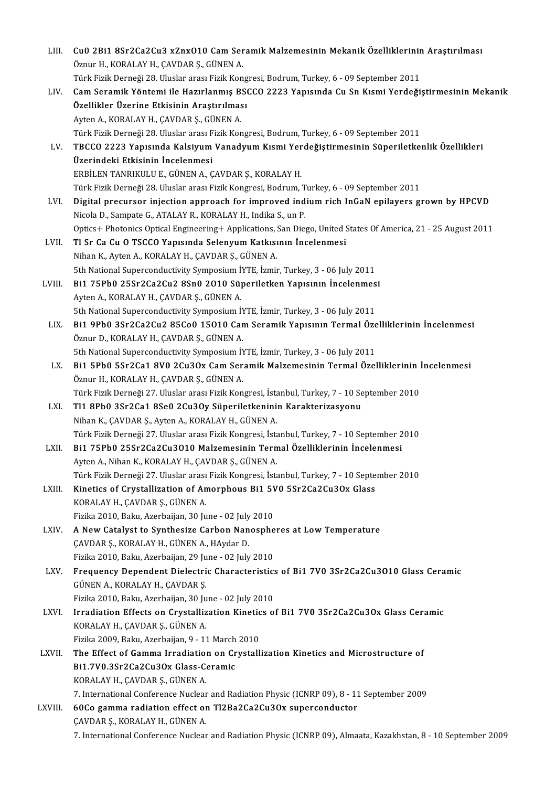| LIII.   | Cu0 2Bi1 8Sr2Ca2Cu3 xZnxO10 Cam Seramik Malzemesinin Mekanik Özelliklerinin Araştırılması                                                                  |
|---------|------------------------------------------------------------------------------------------------------------------------------------------------------------|
|         | Öznur H., KORALAY H., ÇAVDAR Ş., GÜNEN A.                                                                                                                  |
|         | Türk Fizik Derneği 28. Uluslar arası Fizik Kongresi, Bodrum, Turkey, 6 - 09 September 2011                                                                 |
| LIV.    | Cam Seramik Yöntemi ile Hazırlanmış BSCCO 2223 Yapısında Cu Sn Kısmi Yerdeğiştirmesinin Mekanik                                                            |
|         | Özellikler Üzerine Etkisinin Araştırılması                                                                                                                 |
|         | Ayten A., KORALAY H., ÇAVDAR Ş., GÜNEN A.                                                                                                                  |
|         | Türk Fizik Derneği 28. Uluslar arası Fizik Kongresi, Bodrum, Turkey, 6 - 09 September 2011                                                                 |
| LV.     | TBCCO 2223 Yapısında Kalsiyum Vanadyum Kısmi Yerdeğiştirmesinin Süperiletkenlik Özellikleri                                                                |
|         | Üzerindeki Etkisinin İncelenmesi                                                                                                                           |
|         | ERBİLEN TANRIKULU E., GÜNEN A., ÇAVDAR Ş., KORALAY H.                                                                                                      |
|         | Türk Fizik Derneği 28. Uluslar arası Fizik Kongresi, Bodrum, Turkey, 6 - 09 September 2011                                                                 |
| LVI.    | Digital precursor injection approach for improved indium rich InGaN epilayers grown by HPCVD                                                               |
|         | Nicola D., Sampate G., ATALAY R., KORALAY H., Indika S., un P.                                                                                             |
|         | Optics+ Photonics Optical Engineering+ Applications, San Diego, United States Of America, 21 - 25 August 2011                                              |
| LVII.   | Tl Sr Ca Cu O TSCCO Yapısında Selenyum Katkısının İncelenmesi                                                                                              |
|         | Nihan K., Ayten A., KORALAY H., ÇAVDAR Ş., GÜNEN A.                                                                                                        |
|         | 5th National Superconductivity Symposium IYTE, Izmir, Turkey, 3 - 06 July 2011                                                                             |
| LVIII.  | Bi1 75Pb0 25Sr2Ca2Cu2 8Sn0 2010 Süperiletken Yapısının İncelenmesi                                                                                         |
|         | Ayten A., KORALAY H., ÇAVDAR Ş., GÜNEN A.                                                                                                                  |
|         | 5th National Superconductivity Symposium İYTE, İzmir, Turkey, 3 - 06 July 2011                                                                             |
| LIX.    | Bi1 9Pb0 3Sr2Ca2Cu2 85Co0 15010 Cam Seramik Yapısının Termal Özelliklerinin İncelenmesi                                                                    |
|         | Öznur D., KORALAY H., ÇAVDAR Ş., GÜNEN A.                                                                                                                  |
|         | 5th National Superconductivity Symposium İYTE, İzmir, Turkey, 3 - 06 July 2011                                                                             |
| LX.     | Bi1 5Pb0 5Sr2Ca1 8V0 2Cu3Ox Cam Seramik Malzemesinin Termal Özelliklerinin İncelenmesi                                                                     |
|         | Öznur H., KORALAY H., ÇAVDAR Ş., GÜNEN A.                                                                                                                  |
|         | Türk Fizik Derneği 27. Uluslar arası Fizik Kongresi, İstanbul, Turkey, 7 - 10 September 2010                                                               |
| LXI.    | Tl1 8Pb0 3Sr2Ca1 8Se0 2Cu3Oy Süperiletkeninin Karakterizasyonu                                                                                             |
|         | Nihan K., ÇAVDAR Ş., Ayten A., KORALAY H., GÜNEN A.                                                                                                        |
|         | Türk Fizik Derneği 27. Uluslar arası Fizik Kongresi, İstanbul, Turkey, 7 - 10 September 2010                                                               |
| LXII.   | Bi1 75Pb0 25Sr2Ca2Cu3O10 Malzemesinin Termal Özelliklerinin İncelenmesi                                                                                    |
|         | Ayten A., Nihan K., KORALAY H., ÇAVDAR Ş., GÜNEN A.                                                                                                        |
|         | Türk Fizik Derneği 27. Uluslar arası Fizik Kongresi, İstanbul, Turkey, 7 - 10 September 2010                                                               |
| LXIII.  | Kinetics of Crystallization of Amorphous Bi1 5V0 5Sr2Ca2Cu3Ox Glass                                                                                        |
|         | KORALAY H., ÇAVDAR Ş., GÜNEN A.                                                                                                                            |
|         | Fizika 2010, Baku, Azerbaijan, 30 June - 02 July 2010                                                                                                      |
| LXIV.   | A New Catalyst to Synthesize Carbon Nanospheres at Low Temperature                                                                                         |
|         | ÇAVDAR Ş., KORALAY H., GÜNEN A., HAydar D.                                                                                                                 |
|         | Fizika 2010, Baku, Azerbaijan, 29 June - 02 July 2010                                                                                                      |
| LXV.    | Frequency Dependent Dielectric Characteristics of Bi1 7V0 3Sr2Ca2Cu3010 Glass Ceramic                                                                      |
|         | GÜNEN A., KORALAY H., ÇAVDAR Ş.                                                                                                                            |
|         | Fizika 2010, Baku, Azerbaijan, 30 June - 02 July 2010                                                                                                      |
| LXVI.   | Irradiation Effects on Crystallization Kinetics of Bi1 7V0 3Sr2Ca2Cu3Ox Glass Ceramic                                                                      |
|         | KORALAY H., ÇAVDAR Ş., GÜNEN A.                                                                                                                            |
|         | Fizika 2009, Baku, Azerbaijan, 9 - 11 March 2010                                                                                                           |
| LXVII.  | The Effect of Gamma Irradiation on Crystallization Kinetics and Microstructure of<br>Bi1.7V0.3Sr2Ca2Cu3Ox Glass-Ceramic                                    |
|         | KORALAY H., ÇAVDAR Ş., GÜNEN A.                                                                                                                            |
|         |                                                                                                                                                            |
| LXVIII. | 7. International Conference Nuclear and Radiation Physic (ICNRP 09), 8 - 11 September 2009<br>60Co gamma radiation effect on Tl2Ba2Ca2Cu3Ox superconductor |
|         | ÇAVDAR Ş., KORALAY H., GÜNEN A.                                                                                                                            |
|         | 7. International Conference Nuclear and Radiation Physic (ICNRP 09), Almaata, Kazakhstan, 8 - 10 September 2009                                            |
|         |                                                                                                                                                            |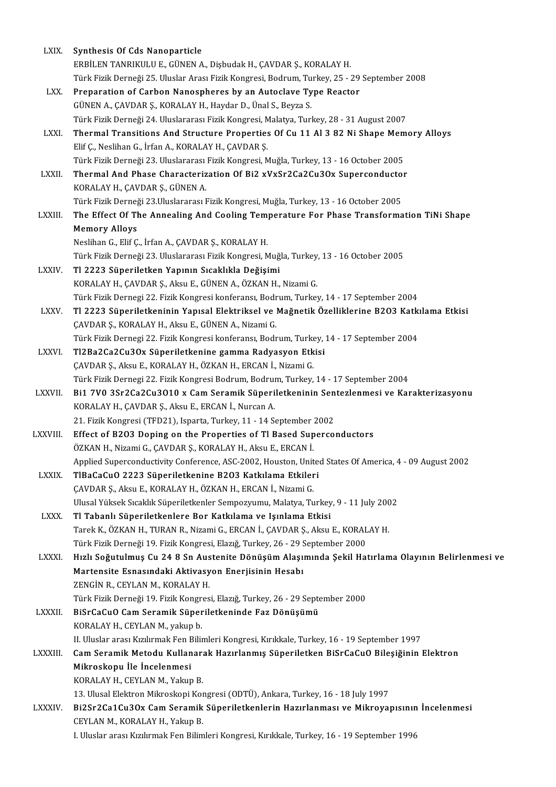| LXIX.          | Synthesis Of Cds Nanoparticle                                                                         |
|----------------|-------------------------------------------------------------------------------------------------------|
|                | ERBİLEN TANRIKULU E., GÜNEN A., Dişbudak H., ÇAVDAR Ş., KORALAY H.                                    |
|                | Türk Fizik Derneği 25. Uluslar Arası Fizik Kongresi, Bodrum, Turkey, 25 - 29 September 2008           |
| LXX.           | Preparation of Carbon Nanospheres by an Autoclave Type Reactor                                        |
|                | GÜNEN A., ÇAVDAR Ş., KORALAY H., Haydar D., Ünal S., Beyza S.                                         |
|                | Türk Fizik Derneği 24. Uluslararası Fizik Kongresi, Malatya, Turkey, 28 - 31 August 2007              |
| LXXI.          | Thermal Transitions And Structure Properties Of Cu 11 Al 3 82 Ni Shape Memory Alloys                  |
|                | Elif Ç., Neslihan G., İrfan A., KORALAY H., ÇAVDAR Ş.                                                 |
|                | Türk Fizik Derneği 23. Uluslararası Fizik Kongresi, Muğla, Turkey, 13 - 16 October 2005               |
| LXXII.         | Thermal And Phase Characterization Of Bi2 xVxSr2Ca2Cu3Ox Superconductor                               |
|                | KORALAY H., ÇAVDAR Ş., GÜNEN A.                                                                       |
|                | Türk Fizik Derneği 23.Uluslararası Fizik Kongresi, Muğla, Turkey, 13 - 16 October 2005                |
| <b>LXXIII</b>  | The Effect Of The Annealing And Cooling Temperature For Phase Transformation TiNi Shape               |
|                | <b>Memory Alloys</b>                                                                                  |
|                | Neslihan G., Elif Ç., İrfan A., ÇAVDAR Ş., KORALAY H.                                                 |
|                | Türk Fizik Derneği 23. Uluslararası Fizik Kongresi, Muğla, Turkey, 13 - 16 October 2005               |
| LXXIV.         | Tl 2223 Süperiletken Yapının Sıcaklıkla Değişimi                                                      |
|                | KORALAY H., ÇAVDAR Ş., Aksu E., GÜNEN A., ÖZKAN H., Nizami G.                                         |
|                | Türk Fizik Dernegi 22. Fizik Kongresi konferansı, Bodrum, Turkey, 14 - 17 September 2004              |
| LXXV.          | Tl 2223 Süperiletkeninin Yapısal Elektriksel ve Mağnetik Özelliklerine B203 Katkılama Etkisi          |
|                | ÇAVDAR Ş., KORALAY H., Aksu E., GÜNEN A., Nizami G.                                                   |
|                | Türk Fizik Dernegi 22. Fizik Kongresi konferansı, Bodrum, Turkey, 14 - 17 September 2004              |
| LXXVI.         | Tl2Ba2Ca2Cu3Ox Süperiletkenine gamma Radyasyon Etkisi                                                 |
|                | ÇAVDAR Ş., Aksu E., KORALAY H., ÖZKAN H., ERCAN İ., Nizami G.                                         |
|                | Türk Fizik Dernegi 22. Fizik Kongresi Bodrum, Bodrum, Turkey, 14 - 17 September 2004                  |
| LXXVII.        | Bi1 7V0 3Sr2Ca2Cu3O10 x Cam Seramik Süperiletkeninin Sentezlenmesi ve Karakterizasyonu                |
|                | KORALAY H., ÇAVDAR Ş., Aksu E., ERCAN İ., Nurcan A.                                                   |
|                | 21. Fizik Kongresi (TFD21), Isparta, Turkey, 11 - 14 September 2002                                   |
| LXXVIII.       | Effect of B203 Doping on the Properties of TI Based Superconductors                                   |
|                | ÖZKAN H., Nizami G., ÇAVDAR Ş., KORALAY H., Aksu E., ERCAN İ.                                         |
|                | Applied Superconductivity Conference, ASC-2002, Houston, United States Of America, 4 - 09 August 2002 |
| LXXIX.         | TlBaCaCuO 2223 Süperiletkenine B203 Katkılama Etkileri                                                |
|                | ÇAVDAR Ş., Aksu E., KORALAY H., ÖZKAN H., ERCAN İ., Nizami G.                                         |
|                | Ulusal Yüksek Sıcaklık Süperiletkenler Sempozyumu, Malatya, Turkey, 9 - 11 July 2002                  |
| LXXX.          | Tl Tabanlı Süperiletkenlere Bor Katkılama ve Işınlama Etkisi                                          |
|                | Tarek K., ÖZKAN H., TURAN R., Nizami G., ERCAN İ., ÇAVDAR Ş., Aksu E., KORALAY H.                     |
|                | Türk Fizik Derneği 19. Fizik Kongresi, Elazığ, Turkey, 26 - 29 September 2000                         |
| LXXXI.         | Hızlı Soğutulmuş Cu 24 8 Sn Austenite Dönüşüm Alaşımında Şekil Hatırlama Olayının Belirlenmesi ve     |
|                | Martensite Esnasındaki Aktivasyon Enerjisinin Hesabı                                                  |
|                | ZENGIN R., CEYLAN M., KORALAY H.                                                                      |
|                | Türk Fizik Derneği 19. Fizik Kongresi, Elazığ, Turkey, 26 - 29 September 2000                         |
| LXXXII.        | BiSrCaCuO Cam Seramik Süperiletkeninde Faz Dönüşümü                                                   |
|                | KORALAY H., CEYLAN M., yakup b.                                                                       |
|                | II. Uluslar arası Kızılırmak Fen Bilimleri Kongresi, Kırıkkale, Turkey, 16 - 19 September 1997        |
| <b>LXXXIII</b> | Cam Seramik Metodu Kullanarak Hazırlanmış Süperiletken BiSrCaCuO Bileşiğinin Elektron                 |
|                | Mikroskopu İle İncelenmesi                                                                            |
|                | KORALAY H., CEYLAN M., Yakup B.                                                                       |
|                | 13. Ulusal Elektron Mikroskopi Kongresi (ODTÜ), Ankara, Turkey, 16 - 18 July 1997                     |
| LXXXIV.        | Bi2Sr2Ca1Cu3Ox Cam Seramik Süperiletkenlerin Hazırlanması ve Mikroyapısının İncelenmesi               |
|                | CEYLAN M., KORALAY H., Yakup B.                                                                       |
|                | I. Uluslar arası Kızılırmak Fen Bilimleri Kongresi, Kırıkkale, Turkey, 16 - 19 September 1996         |
|                |                                                                                                       |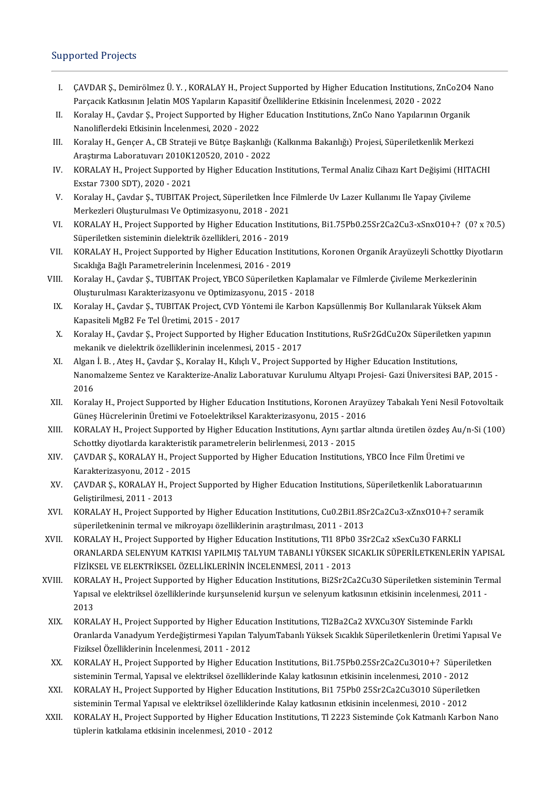# Supported Projects

- upported Projects<br>I. CAVDAR Ş., Demirölmez Ü.Y. , KORALAY H., Project Supported by Higher Education Institutions, ZnCo2O4 Nano<br>Darsasılı Katlasının Jolatin MOS Vanıların Kanasitif Özelliklerine Etkisinin İnselanmesi 2020, CAVDAR Ş., Demirölmez Ü. Y. , KORALAY H., Project Supported by Higher Education Institutions, Zr,<br>Parçacık Katkısının Jelatin MOS Yapıların Kapasitif Özelliklerine Etkisinin İncelenmesi, 2020 - 2022<br>Karalay H. Caydar S. Pr I. CAVDAR Ş., Demirölmez Ü. Y., KORALAY H., Project Supported by Higher Education Institutions, ZnCo2O4<br>Parçacık Katkısının Jelatin MOS Yapıların Kapasitif Özelliklerine Etkisinin İncelenmesi, 2020 - 2022<br>II. Koralay H., Ç
- Parçacık Katkısının Jelatin MOS Yapıların Kapasitif Özelliklerine Etkisinin İncelenmesi, 2020 2022<br>Koralay H., Çavdar Ş., Project Supported by Higher Education Institutions, ZnCo Nano Yapılarının Organik<br>Nanoliflerdeki E II. Koralay H., Çavdar Ş., Project Supported by Higher Education Institutions, ZnCo Nano Yapılarının Organik<br>Nanoliflerdeki Etkisinin İncelenmesi, 2020 - 2022<br>III. Koralay H., Gençer A., CB Strateji ve Bütçe Başkanlığı (Ka
- Nanoliflerdeki Etkisinin İncelenmesi, 2020 2022<br>Koralay H., Gençer A., CB Strateji ve Bütçe Başkanlığı<br>Araştırma Laboratuvarı 2010K120520, 2010 2022<br>KORALAY H. Preject Sunnerted bu Higher Education III. Koralay H., Gençer A., CB Strateji ve Bütçe Başkanlığı (Kalkınma Bakanlığı) Projesi, Süperiletkenlik Merkezi<br>Araştırma Laboratuvarı 2010K120520, 2010 - 2022<br>IV. KORALAY H., Project Supported by Higher Education Instit
- Araştırma Laboratuvarı 2010K120520, 2010 2022<br>KORALAY H., Project Supported by Higher Education Institutions, Termal Analiz Cihazı Kart Değişimi (HIT.<br>Exstar 7300 SDT), 2020 2021<br>Koralay H., Çavdar Ş., TUBITAK Project, IV. KORALAY H., Project Supported by Higher Education Institutions, Termal Analiz Cihazı Kart Değişimi (HITACHI<br>Exstar 7300 SDT), 2020 - 2021<br>V. Koralay H., Çavdar Ş., TUBITAK Project, Süperiletken İnce Filmlerde Uv Lazer
- Exstar 7300 SDT), 2020 2021<br>Koralay H., Çavdar Ş., TUBITAK Project, Süperiletken İnce l<br>Merkezleri Oluşturulması Ve Optimizasyonu, 2018 2021<br>KORALAY H., Project Supperted by Higber Education Insti V. Koralay H., Çavdar Ş., TUBITAK Project, Süperiletken İnce Filmlerde Uv Lazer Kullanımı Ile Yapay Çivileme<br>Merkezleri Oluşturulması Ve Optimizasyonu, 2018 - 2021<br>VI. KORALAY H., Project Supported by Higher Education Inst
- Merkezleri Oluşturulması Ve Optimizasyonu, 2018 2021<br>KORALAY H., Project Supported by Higher Education Insti<br>Süperiletken sisteminin dielektrik özellikleri, 2016 2019<br>KORALAY H. Project Supported by Higher Education In VI. KORALAY H., Project Supported by Higher Education Institutions, Bi1.75Pb0.25Sr2Ca2Cu3-xSnxO10+? (0? x ?0.5)<br>Süperiletken sisteminin dielektrik özellikleri, 2016 - 2019<br>VII. KORALAY H., Project Supported by Higher Educa
- Süperiletken sisteminin dielektrik özellikleri, 2016 2019<br>KORALAY H., Project Supported by Higher Education Institutions, Koronen Organik Arayüzeyli Schottky Diyotların<br>Sıcaklığa Bağlı Parametrelerinin İncelenmesi, 2016 VII. KORALAY H., Project Supported by Higher Education Institutions, Koronen Organik Arayüzeyli Schottky Diyo<br>Sıcaklığa Bağlı Parametrelerinin İncelenmesi, 2016 - 2019<br>VIII. Koralay H., Çavdar Ş., TUBITAK Project, YBCO Süp
- Sıcaklığa Bağlı Parametrelerinin İncelenmesi, 2016 2019<br>Koralay H., Çavdar Ş., TUBITAK Project, YBCO Süperiletken Kapla<br>Oluşturulması Karakterizasyonu ve Optimizasyonu, 2015 2018<br>Karalay H. Çavdar S., TUBITAK Project, III. Koralay H., Çavdar Ş., TUBITAK Project, YBCO Süperiletken Kaplamalar ve Filmlerde Çivileme Merkezlerinin<br>Oluşturulması Karakterizasyonu ve Optimizasyonu, 2015 - 2018<br>IX. Koralay H., Çavdar Ş., TUBITAK Project, CVD Yön
- Oluşturulması Karakterizasyonu ve Optimizasyonu, 2015 2018<br>Koralay H., Çavdar Ş., TUBITAK Project, CVD Yöntemi ile Karbon Kapsüllenmiş Bor Kullanılarak Yüksek Akım<br>Kapasiteli MgB2 Fe Tel Üretimi, 2015 2017 X. Koralay H., Çavdar Ş., TUBITAK Project, CVD Yöntemi ile Karbon Kapsüllenmiş Bor Kullanılarak Yüksek Akım<br>Kapasiteli MgB2 Fe Tel Üretimi, 2015 - 2017<br>X. Koralay H., Çavdar Ş., Project Supported by Higher Education Instit
- Kapasiteli MgB2 Fe Tel Üretimi, 2015 2017<br>Koralay H., Çavdar Ş., Project Supported by Higher Education<br>mekanik ve dielektrik özelliklerinin incelenmesi, 2015 2017<br>Algan İ. P., Atas H. Gaydar S. Karalay H. Kılıslı V. Pr X. Koralay H., Çavdar Ş., Project Supported by Higher Education Institutions, RuSr2GdCu2Ox Süperiletker<br>mekanik ve dielektrik özelliklerinin incelenmesi, 2015 - 2017<br>XI. Algan İ. B., Ateş H., Çavdar Ş., Koralay H., Kılıçlı
- mekanik ve dielektrik özelliklerinin incelenmesi, 2015 2017<br>Algan İ. B. , Ateş H., Çavdar Ş., Koralay H., Kılıçlı V., Project Supported by Higher Education Institutions,<br>Nanomalzeme Sentez ve Karakterize-Analiz Laboratuv Algan İ. B., Ateş H., Çavdar Ş., Koralay H., Kılıçlı V., Project Supported by Higher Education Institutions, Nanomalzeme Sentez ve Karakterize-Analiz Laboratuvar Kurulumu Altyapı Projesi- Gazi Üniversitesi BAP, 2015 -<br>2016 .<br>XII. Koralay H., Project Supported by Higher Education Institutions, Koronen Arayüzey Tabakalı Yeni Nesil
- 2016<br>Koralay H., Project Supported by Higher Education Institutions, Koronen Arayi<br>Güneş Hücrelerinin Üretimi ve Fotoelektriksel Karakterizasyonu, 2015 2016<br>KORALAY H. Preject Supported by Higher Education Institutions, XII. Koralay H., Project Supported by Higher Education Institutions, Koronen Arayüzey Tabakalı Yeni Nesil Fotovoltaik<br>Güneş Hücrelerinin Üretimi ve Fotoelektriksel Karakterizasyonu, 2015 - 2016<br>XIII. KORALAY H., Project Su
- Güneş Hücrelerinin Üretimi ve Fotoelektriksel Karakterizasyonu, 2015 2016<br>KORALAY H., Project Supported by Higher Education Institutions, Aynı şartlar altında üretilen özdeş Au/n-Si (100)<br>Schottky diyotlarda karakteristi XIII. KORALAY H., Project Supported by Higher Education Institutions, Aynı şartlar altında üretilen özdeş Au/ı<br>Schottky diyotlarda karakteristik parametrelerin belirlenmesi, 2013 - 2015<br>XIV. ÇAVDAR Ş., KORALAY H., Project
- Schottky diyotlarda karakteristil<br>ÇAVDAR Ş., KORALAY H., Projec<br>Karakterizasyonu, 2012 2015<br>ÇAVDAR S., KORALAY H., Projec XIV. CAVDAR Ş., KORALAY H., Project Supported by Higher Education Institutions, YBCO İnce Film Üretimi ve<br>Karakterizasyonu, 2012 - 2015<br>XV. CAVDAR Ş., KORALAY H., Project Supported by Higher Education Institutions, Süperil
- Karakterizasyonu, 2012 2<br>ÇAVDAR Ş., KORALAY H., Pı<br>Geliştirilmesi, 2011 2013<br>KORALAY H. Project Suppe XV. CAVDAR Ș., KORALAY H., Project Supported by Higher Education Institutions, Süperiletkenlik Laboratuarının<br>Geliştirilmesi, 2011 - 2013<br>XVI. KORALAY H., Project Supported by Higher Education Institutions, Cu0.2Bi1.8Sr2Ca
- Geliştirilmesi, 2011 2013<br>KORALAY H., Project Supported by Higher Education Institutions, Cu0.2Bi1.8S<br>süperiletkeninin termal ve mikroyapı özelliklerinin araştırılması, 2011 2013<br>KORALAY H. Project Supported by Higher XVI. KORALAY H., Project Supported by Higher Education Institutions, Cu0.2Bi1.8Sr2Ca2Cu3-xZnxO10+? sei<br>süperiletkeninin termal ve mikroyapı özelliklerinin araştırılması, 2011 - 2013<br>XVII. KORALAY H., Project Supported by H
- süperiletkeninin termal ve mikroyapı özelliklerinin araştırılması, 2011 2013<br>KORALAY H., Project Supported by Higher Education Institutions, Tl1 8Pb0 3Sr2Ca2 xSexCu3O FARKLI<br>ORANLARDA SELENYUM KATKISI YAPILMIŞ TALYUM TAB KORALAY H., Project Supported by Higher Education Institutions, Tl1 8Pb0 3Sr2Ca2 xSexCu3O FARKLI<br>ORANLARDA SELENYUM KATKISI YAPILMIŞ TALYUM TABANLI YÜKSEK SICAKLIK SÜPERİLETKENLER<br>FİZİKSEL VE ELEKTRİKSEL ÖZELLİKLERİNİN İNC ORANLARDA SELENYUM KATKISI YAPILMIŞ TALYUM TABANLI YÜKSEK SICAKLIK SÜPERİLETKENLERİN YAPISAL<br>FİZİKSEL VE ELEKTRİKSEL ÖZELLİKLERİNIN İNCELENMESİ, 2011 - 2013<br>XVIII. KORALAY H., Project Supported by Higher Education Institut
- FİZİKSEL VE ELEKTRİKSEL ÖZELLİKLERİNİN İNCELENMESİ, 2011 2013<br>KORALAY H., Project Supported by Higher Education Institutions, Bi2Sr2Ca2Cu3O Süperiletken sisteminin Terı<br>Yapısal ve elektriksel özelliklerinde kurşunselenid KORA<br>Yapısa<br>2013<br>KORA Xapısal ve elektriksel özelliklerinde kurşunselenid kurşun ve selenyum katkısının etkisinin incelenmesi, 2011<br>2013<br>XIX. KORALAY H., Project Supported by Higher Education Institutions, Tl2Ba2Ca2 XVXCu3OY Sisteminde Fark
- 2013<br>KORALAY H., Project Supported by Higher Education Institutions, Tl2Ba2Ca2 XVXCu3OY Sisteminde Farklı<br>Oranlarda Vanadyum Yerdeğiştirmesi Yapılan TalyumTabanlı Yüksek Sıcaklık Süperiletkenlerin Üretimi Yapısal Ve KORALAY H., Project Supported by Higher Educ<br>Oranlarda Vanadyum Yerdeğiştirmesi Yapılan T<br>Fiziksel Özelliklerinin İncelenmesi, 2011 - 2012<br>KORALAY H., Project Supported bu Higher Educ Oranlarda Vanadyum Yerdeğiştirmesi Yapılan TalyumTabanlı Yüksek Sıcaklık Süperiletkenlerin Üretimi Yapısal V<br>Fiziksel Özelliklerinin İncelenmesi, 2011 - 2012<br>XX. KORALAY H., Project Supported by Higher Education Institutio
- Fiziksel Özelliklerinin İncelenmesi, 2011 2012<br>KORALAY H., Project Supported by Higher Education Institutions, Bi1.75Pb0.25Sr2Ca2Cu3O10+? Süperiletken<br>sisteminin Termal, Yapısal ve elektriksel özelliklerinde Kalay katkı XX. KORALAY H., Project Supported by Higher Education Institutions, Bi1.75Pb0.25Sr2Ca2Cu3O10+? Süperiletken<br>sisteminin Termal, Yapısal ve elektriksel özelliklerinde Kalay katkısının etkisinin incelenmesi, 2010 - 2012<br>XXI.
- sisteminin Termal, Yapısal ve elektriksel özelliklerinde Kalay katkısının etkisinin incelenmesi, 2010 2012<br>KORALAY H., Project Supported by Higher Education Institutions, Bi1 75Pb0 25Sr2Ca2Cu3O10 Süperiletk<br>sisteminin Te XXI. KORALAY H., Project Supported by Higher Education Institutions, Bi1 75Pb0 25Sr2Ca2Cu3O10 Süperiletken<br>sisteminin Termal Yapısal ve elektriksel özelliklerinde Kalay katkısının etkisinin incelenmesi, 2010 - 2012<br>XXII. K
- sisteminin Termal Yapısal ve elektriksel özelliklerinde Kalay katkısının etkisinin incelenmesi, 2010 2012<br>KORALAY H., Project Supported by Higher Education Institutions, Tl 2223 Sisteminde Çok Katmanlı Karbon Nano<br>tüpler